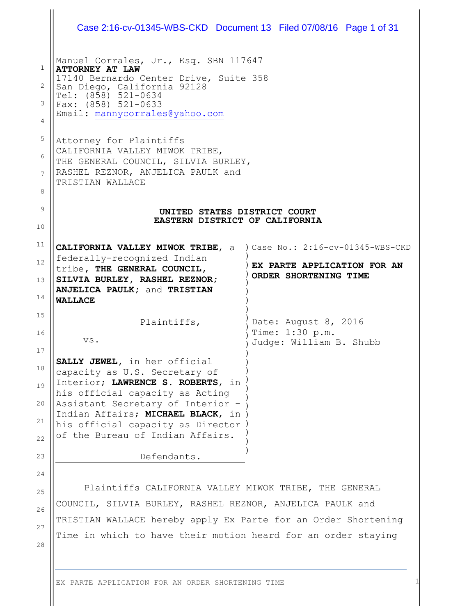|                               | Case 2:16-cv-01345-WBS-CKD Document 13 Filed 07/08/16 Page 1 of 31                                                                                                                                                                                                                           |                                                                    |  |  |
|-------------------------------|----------------------------------------------------------------------------------------------------------------------------------------------------------------------------------------------------------------------------------------------------------------------------------------------|--------------------------------------------------------------------|--|--|
| $\mathbf{1}$<br>2<br>3<br>4   | Manuel Corrales, Jr., Esq. SBN 117647<br><b>ATTORNEY AT LAW</b><br>17140 Bernardo Center Drive, Suite 358<br>San Diego, California 92128<br>Tel: (858) 521-0634<br>Fax: $(858)$ 521-0633<br>Email: mannycorrales@yahoo.com                                                                   |                                                                    |  |  |
| 5<br>6<br>$\overline{7}$<br>8 | Attorney for Plaintiffs<br>CALIFORNIA VALLEY MIWOK TRIBE,<br>THE GENERAL COUNCIL, SILVIA BURLEY,<br>RASHEL REZNOR, ANJELICA PAULK and<br>TRISTIAN WALLACE                                                                                                                                    |                                                                    |  |  |
| 9<br>10                       | UNITED STATES DISTRICT COURT<br>EASTERN DISTRICT OF CALIFORNIA                                                                                                                                                                                                                               |                                                                    |  |  |
| 11<br>12<br>13<br>14          | CALIFORNIA VALLEY MIWOK TRIBE, a ) Case No.: 2:16-cv-01345-WBS-CKD<br>federally-recognized Indian<br>tribe, THE GENERAL COUNCIL,<br>SILVIA BURLEY, RASHEL REZNOR;<br><b>ANJELICA PAULK; and TRISTIAN</b><br><b>WALLACE</b>                                                                   | EX PARTE APPLICATION FOR AN<br>ORDER SHORTENING TIME               |  |  |
| 15<br>16<br>17                | Plaintiffs,<br>VS.                                                                                                                                                                                                                                                                           | Date: August 8, 2016<br>Time: 1:30 p.m.<br>Judge: William B. Shubb |  |  |
| 18<br>19<br>20<br>21<br>22    | SALLY JEWEL, in her official<br>capacity as U.S. Secretary of<br>Interior; LAWRENCE S. ROBERTS, in<br>his official capacity as Acting<br>Assistant Secretary of Interior -<br>Indian Affairs; MICHAEL BLACK, in )<br>his official capacity as Director )<br>of the Bureau of Indian Affairs. |                                                                    |  |  |
| 23                            | Defendants.                                                                                                                                                                                                                                                                                  |                                                                    |  |  |
| 24                            |                                                                                                                                                                                                                                                                                              |                                                                    |  |  |
| 25                            | Plaintiffs CALIFORNIA VALLEY MIWOK TRIBE, THE GENERAL                                                                                                                                                                                                                                        |                                                                    |  |  |
| 26                            | COUNCIL, SILVIA BURLEY, RASHEL REZNOR, ANJELICA PAULK and                                                                                                                                                                                                                                    |                                                                    |  |  |
| 27                            | TRISTIAN WALLACE hereby apply Ex Parte for an Order Shortening                                                                                                                                                                                                                               |                                                                    |  |  |
| 28                            | Time in which to have their motion heard for an order staying                                                                                                                                                                                                                                |                                                                    |  |  |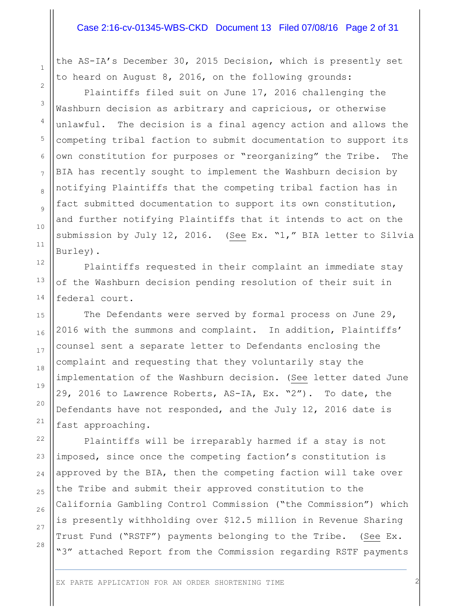### Case 2:16-cv-01345-WBS-CKD Document 13 Filed 07/08/16 Page 2 of 31

the AS-IA's December 30, 2015 Decision, which is presently set to heard on August 8, 2016, on the following grounds:

Plaintiffs filed suit on June 17, 2016 challenging the Washburn decision as arbitrary and capricious, or otherwise unlawful. The decision is a final agency action and allows the competing tribal faction to submit documentation to support its own constitution for purposes or "reorganizing" the Tribe. The BIA has recently sought to implement the Washburn decision by notifying Plaintiffs that the competing tribal faction has in fact submitted documentation to support its own constitution, and further notifying Plaintiffs that it intends to act on the submission by July 12, 2016. (See Ex. "1," BIA letter to Silvia Burley).

Plaintiffs requested in their complaint an immediate stay of the Washburn decision pending resolution of their suit in federal court.

The Defendants were served by formal process on June 29, 2016 with the summons and complaint. In addition, Plaintiffs' counsel sent a separate letter to Defendants enclosing the complaint and requesting that they voluntarily stay the implementation of the Washburn decision. (See letter dated June 29, 2016 to Lawrence Roberts, AS-IA, Ex. "2"). To date, the Defendants have not responded, and the July 12, 2016 date is fast approaching.

Plaintiffs will be irreparably harmed if a stay is not imposed, since once the competing faction's constitution is approved by the BIA, then the competing faction will take over the Tribe and submit their approved constitution to the California Gambling Control Commission ("the Commission") which is presently withholding over \$12.5 million in Revenue Sharing Trust Fund ("RSTF") payments belonging to the Tribe. (See Ex. "3" attached Report from the Commission regarding RSTF payments

1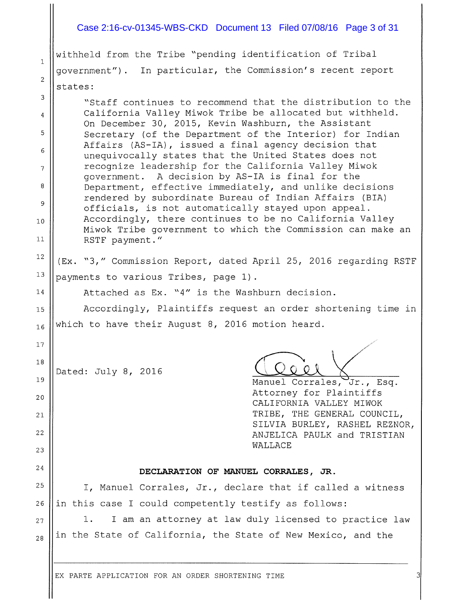### Case 2:16-cv-01345-WBS-CKD Document 13 Filed 07/08/16 Page 3 of 31

withheld from the Tribe "pending identification of Tribal government") . In particular, the Commission's recent report states:

1

2

 $\ensuremath{\mathsf{3}}$ 

6

 $\overline{9}$ 

5

17

23

Dated: July 8, 2016

"Staff continues to recommend that the distribution to the 4 || California Valley Miwok Tribe be allocated but withheld. On December 30, 2015, Kevin Washburn, the Assistant Secretary (of the Department of the Interior) for Indian Affairs (AS-IA), issued <sup>a</sup> final agency decision that unequivocally states that the United States does not  $7 \parallel$  recognize leadership for the California Valley Miwok government. <sup>A</sup> decision by AS-IA is final for the <sup>8</sup> | Department, effective immediately, and unlike decisions rendered by subordinate Bureau of Indian Affairs (BIA) officials, is not automatically stayed upon appeal. 10 || Accordingly, there continues to be no California Valley Miwok Tribe government to which the Commission can make an <sup>11</sup> RSTF payment."

 $12$  (Ex. "3," Commission Report, dated April 25, 2016 regarding RSTF <sup>13</sup>  $\vert$  payments to various Tribes, page 1).

14 | Attached as Ex. "4" is the Washburn decision.

<sup>15</sup> Accordingly, Plaintiffs request an order shortening time in  $_{16}$  which to have their August 8, 2016 motion heard.

18 —

19 || Manuel Corrales, Jr., Esq. 20 **Attorney for Plaintiffs** CALIFORNIA VALLEY MIWOK 21 || TRIBE, THE GENERAL COUNCIL, SILVIA BURLEY, RASHEL REZNOR, <sup>22</sup> ANJELICA PAULK and TRISTIAN WALLACE

## $24$  || DECLARATION OF MANUEL CORRALES, JR.

 $25$  || I, Manuel Corrales, Jr., declare that if called a witness  $26$  ||in this case I could competently testify as follows:

 $27$  ||  $1.$  I am an attorney at law duly licensed to practice law  $_{28}$  ||in the State of California, the State of New Mexico, and the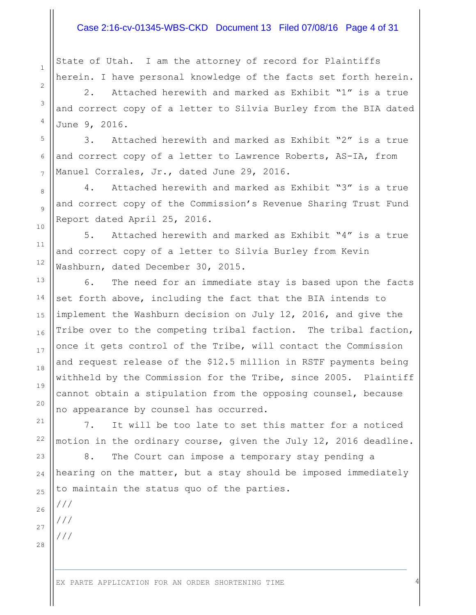### Case 2:16-cv-01345-WBS-CKD Document 13 Filed 07/08/16 Page 4 of 31

State of Utah. I am the attorney of record for Plaintiffs herein. I have personal knowledge of the facts set forth herein.

2. Attached herewith and marked as Exhibit "1" is a true and correct copy of a letter to Silvia Burley from the BIA dated June 9, 2016.

3. Attached herewith and marked as Exhibit "2" is a true and correct copy of a letter to Lawrence Roberts, AS-IA, from Manuel Corrales, Jr., dated June 29, 2016.

4. Attached herewith and marked as Exhibit "3" is a true and correct copy of the Commission's Revenue Sharing Trust Fund Report dated April 25, 2016.

5. Attached herewith and marked as Exhibit "4" is a true and correct copy of a letter to Silvia Burley from Kevin Washburn, dated December 30, 2015.

6. The need for an immediate stay is based upon the facts set forth above, including the fact that the BIA intends to implement the Washburn decision on July 12, 2016, and give the Tribe over to the competing tribal faction. The tribal faction, once it gets control of the Tribe, will contact the Commission and request release of the \$12.5 million in RSTF payments being withheld by the Commission for the Tribe, since 2005. Plaintiff cannot obtain a stipulation from the opposing counsel, because no appearance by counsel has occurred.

7. It will be too late to set this matter for a noticed motion in the ordinary course, given the July 12, 2016 deadline.

8. The Court can impose a temporary stay pending a hearing on the matter, but a stay should be imposed immediately to maintain the status quo of the parties.

///

///

///

1

2

3

4

5

6

7

8

9

10

11

12

13

14

15

16

17

18

19

20

21

22

23

24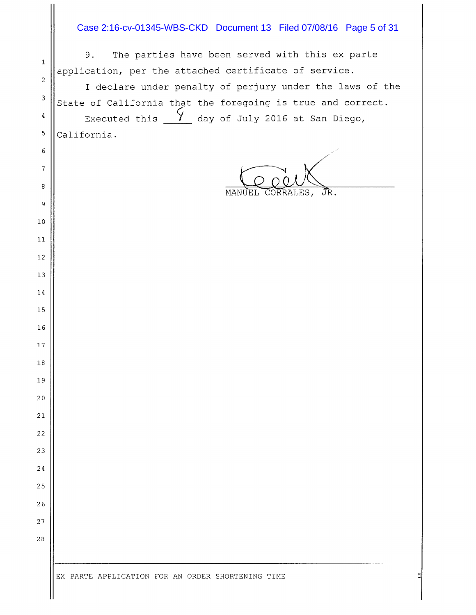## Case 2:16-cv-01345-WBS-CKD Document 13 Filed 07/08/16 Page 5 of 31

|                           | The parties have been served with this ex parte<br>9.       |
|---------------------------|-------------------------------------------------------------|
| $\mathbf{1}$              | application, per the attached certificate of service.       |
| 2                         | I declare under penalty of perjury under the laws of the    |
| $\ensuremath{\mathsf{3}}$ | State of California that the foregoing is true and correct. |
| 4                         | Executed this $\frac{1}{2}$ day of July 2016 at San Diego,  |
| $\mathsf S$               | California.                                                 |
| 6                         |                                                             |
| $\overline{7}$            |                                                             |
| 8                         | CORRALES,<br>JR.<br>MANUEL                                  |
| 9                         |                                                             |
| $1\,0$                    |                                                             |
| 11                        |                                                             |
| $1\,2$                    |                                                             |
| 13                        |                                                             |
| $1\,4$                    |                                                             |
| $1\,5$                    |                                                             |
| 16                        |                                                             |
| $17\,$                    |                                                             |
| $1\,8$                    |                                                             |
| 19                        |                                                             |
| $2\,0$                    |                                                             |
| $2\sqrt{1}$               |                                                             |
| 22                        |                                                             |
| 23                        |                                                             |
| 24                        |                                                             |
| 25                        |                                                             |
| 26                        |                                                             |
| 27                        |                                                             |
| 28                        |                                                             |
|                           |                                                             |
|                           |                                                             |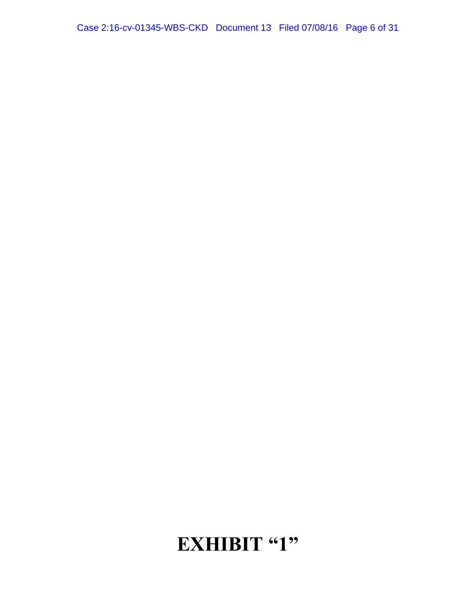# EXHIBIT "1"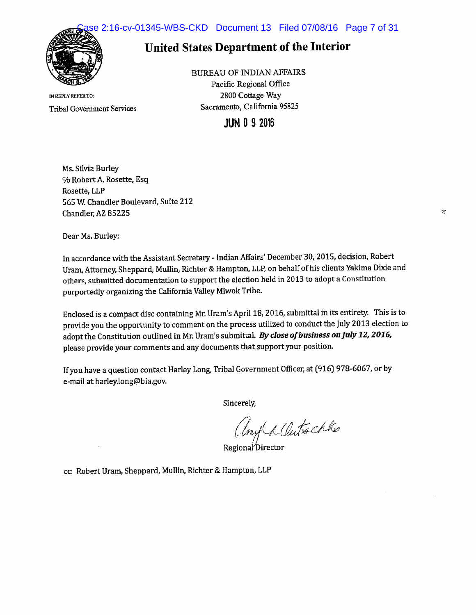e 2:16-cv-01345-WBS-CKD Document 13 Filed 07/08/16 Page 7 of 31



## United States Department of the Interior

IN REPLY REFER TO: Tribal Governnient Services BUREAU OF INDIAN AFFAIRS

Pacific Regional Office 2800 Cottage Way Sacramento, California 95825

## **JUN 0 9 2016**

Ms. Silvia Burley % Robert A. Rosette, Esq Rosette, LLP 565 W. Chandler Boulevard, Suite 212 Chandler, AZ 85225

Dear Ms. Burley:

In accordance with the Assistant Secretary - Indian Affairs' December 30, 2015, decision, Robert Uram, Attorney, Sheppard, Mullin, Richter & Hampton, LLP, on behalf of his clients Yakima Dixie and others, submitted documentation to suppor<sup>t</sup> the election held in <sup>2013</sup> to adopt <sup>a</sup> Constitution purportedly organizing the California Valley Miwok Tribe.

Enclosed is a compact disc containing Mr. Uram's April 18, 2016, submittal in its entirety. This is to provide you the opportunity to comment on the process utilized to conduct the July <sup>2013</sup> election to adopt the Constitution outlined in Mr. Uram's submittal. By close of business on July 12, 2016, please provide your comments and any documents that support your position.

If you have <sup>a</sup> question contact Harley Long, Tribal Government Officer, at (916) 978-6067, or by e-mail at harley.long@bia.gov.

Sincerely,

Uny a Clutschke

RegionaYbirector

cc: Robert Uram, Sheppard, Mullin, Richter & Hampton, LLP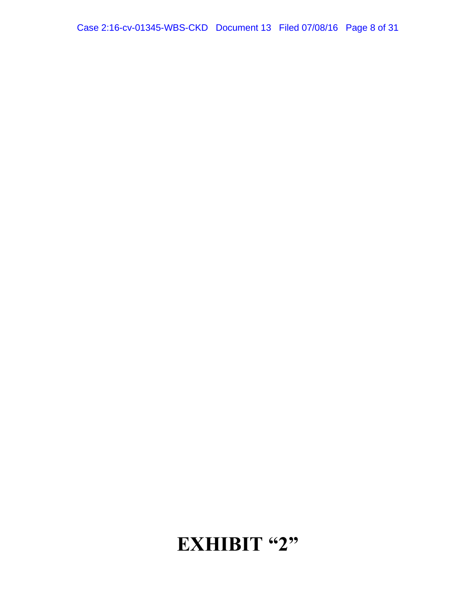# **EXHIBIT "2"**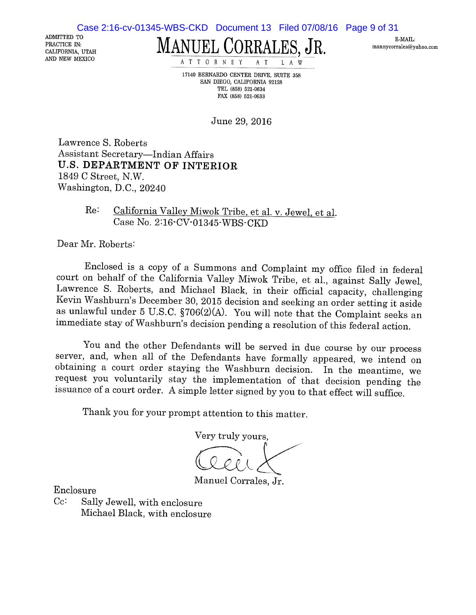Case 2:16-cv-01345-WBS-CKD Document 13 Filed 07/08/16 Page 9 of 31

ADMITTED TO PRACTICE IN: CALIFORNIA, UTAH

MANUEL CORRALES, JR. MANUEL CORRALES

AND NEW MEXICO ATTORNEY AT LAW

17140 BERNARDO CENTER DRWE, SUITE 358 SAN DIEGO, CALIFORNIA 92128 TEL (858) 521-0634 FAX (858) 521-0633

June 29, 2016

Lawrence S. Roberts Assistant Secretary—Indian Affairs U.S. DEPARTMENT OF INTERIOR 1849 C Street, N.W. Washington, D.C., 20240

> Re: California Valley Miwok Tribe, et al. v. Jewel, et al. Case No. 2:16-CV-01345-WBS-CKD

Dear Mr. Roberts:

Enclosed is <sup>a</sup> copy of <sup>a</sup> Summons and Complaint my office filed in federal court on behalf of the California Valley Miwok Tribe, et al., against Sally Jewel, Lawrence S. Roberts, and Michael Black, in their official capacity, challenging Kevin Washburn's December 30, <sup>2015</sup> decision and seeking an order setting it aside as unlawful under <sup>5</sup> U.S.C. §706(2)(A). You will note that the Complaint seeks an immediate stay of Washburn's decision pending <sup>a</sup> resolution of this federal action.

You and the other Defendants will be served in due course by our process server, and, when all of the Defendants have formally appeared, we intend on obtaining a court order staying the Washburn decision. In the meantime, we request you voluntarily stay the implementation of that decision pending the issuance of <sup>a</sup> court order. <sup>A</sup> simple letter signed by you to that effect will suffice.

Thank you for your prompt attention to this matter.

Very truly yours,

Manuel Corrales, Jr.

Enclosure

Cc: Sally Jewell, with enclosure Michael Black, with enclosure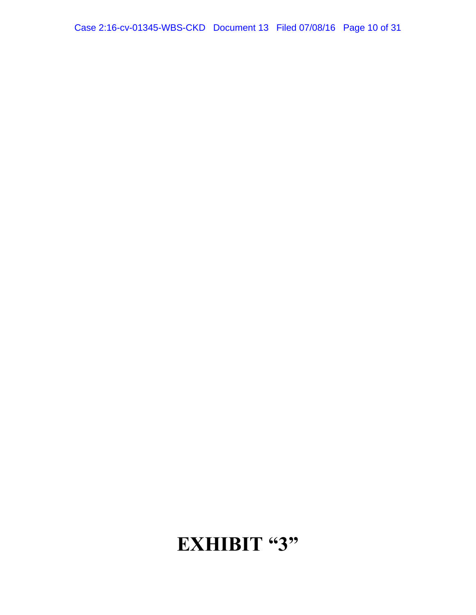# **EXHIBIT "3"**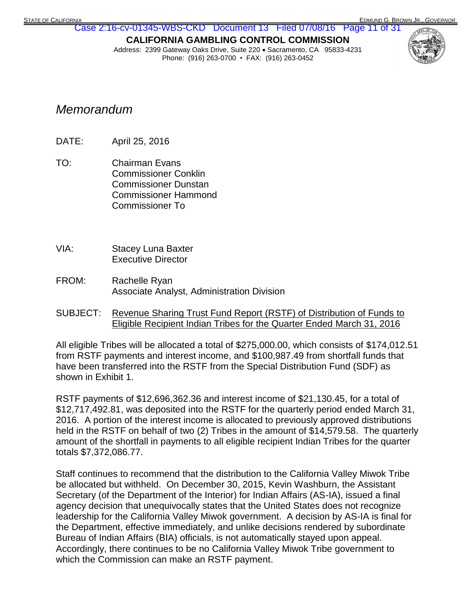## **CALIFORNIA GAMBLING CONTROL COMMISSION** Case 2:16-cv-01345-WBS-CKD Document 13 Filed 07/08/16 Page 11 of 31

Address: 2399 Gateway Oaks Drive, Suite 220 · Sacramento, CA 95833-4231 Phone: (916) 263-0700 • FAX: (916) 263-0452



## *Memorandum*

- DATE: April 25, 2016
- TO: Chairman Evans Commissioner Conklin Commissioner Dunstan Commissioner Hammond Commissioner To
- VIA: Stacey Luna Baxter Executive Director
- FROM: Rachelle Ryan Associate Analyst, Administration Division
- SUBJECT: Revenue Sharing Trust Fund Report (RSTF) of Distribution of Funds to Eligible Recipient Indian Tribes for the Quarter Ended March 31, 2016

All eligible Tribes will be allocated a total of \$275,000.00, which consists of \$174,012.51 from RSTF payments and interest income, and \$100,987.49 from shortfall funds that have been transferred into the RSTF from the Special Distribution Fund (SDF) as shown in Exhibit 1.

RSTF payments of \$12,696,362.36 and interest income of \$21,130.45, for a total of \$12,717,492.81, was deposited into the RSTF for the quarterly period ended March 31, 2016. A portion of the interest income is allocated to previously approved distributions held in the RSTF on behalf of two (2) Tribes in the amount of \$14,579.58. The quarterly amount of the shortfall in payments to all eligible recipient Indian Tribes for the quarter totals \$7,372,086.77.

Staff continues to recommend that the distribution to the California Valley Miwok Tribe be allocated but withheld. On December 30, 2015, Kevin Washburn, the Assistant Secretary (of the Department of the Interior) for Indian Affairs (AS-IA), issued a final agency decision that unequivocally states that the United States does not recognize leadership for the California Valley Miwok government. A decision by AS-IA is final for the Department, effective immediately, and unlike decisions rendered by subordinate Bureau of Indian Affairs (BIA) officials, is not automatically stayed upon appeal. Accordingly, there continues to be no California Valley Miwok Tribe government to which the Commission can make an RSTF payment.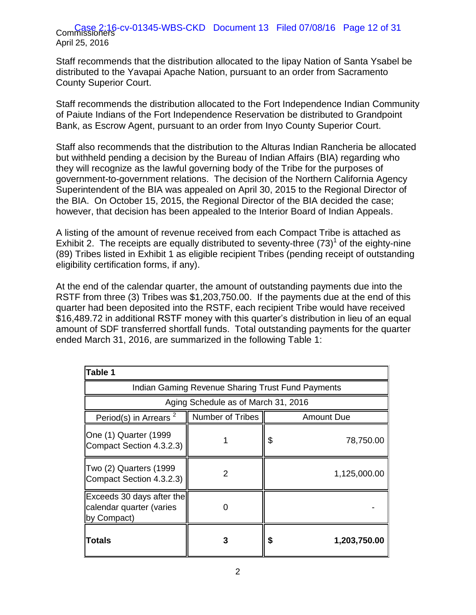#### Case 2:16 April 25, 2016 Case 2:16-cv-01345-WBS-CKD Document 13 Filed 07/08/16 Page 12 of 31

Staff recommends that the distribution allocated to the Iipay Nation of Santa Ysabel be distributed to the Yavapai Apache Nation, pursuant to an order from Sacramento County Superior Court.

Staff recommends the distribution allocated to the Fort Independence Indian Community of Paiute Indians of the Fort Independence Reservation be distributed to Grandpoint Bank, as Escrow Agent, pursuant to an order from Inyo County Superior Court.

Staff also recommends that the distribution to the Alturas Indian Rancheria be allocated but withheld pending a decision by the Bureau of Indian Affairs (BIA) regarding who they will recognize as the lawful governing body of the Tribe for the purposes of government-to-government relations. The decision of the Northern California Agency Superintendent of the BIA was appealed on April 30, 2015 to the Regional Director of the BIA. On October 15, 2015, the Regional Director of the BIA decided the case; however, that decision has been appealed to the Interior Board of Indian Appeals.

A listing of the amount of revenue received from each Compact Tribe is attached as Exhibit 2. The receipts are equally distributed to seventy-three  $(73)^1$  of the eighty-nine (89) Tribes listed in Exhibit 1 as eligible recipient Tribes (pending receipt of outstanding eligibility certification forms, if any).

At the end of the calendar quarter, the amount of outstanding payments due into the RSTF from three (3) Tribes was \$1,203,750.00. If the payments due at the end of this quarter had been deposited into the RSTF, each recipient Tribe would have received \$16,489.72 in additional RSTF money with this quarter's distribution in lieu of an equal amount of SDF transferred shortfall funds. Total outstanding payments for the quarter ended March 31, 2016, are summarized in the following Table 1:

| Table 1                                                              |                                                   |    |                   |  |
|----------------------------------------------------------------------|---------------------------------------------------|----|-------------------|--|
|                                                                      | Indian Gaming Revenue Sharing Trust Fund Payments |    |                   |  |
|                                                                      | Aging Schedule as of March 31, 2016               |    |                   |  |
| Period(s) in Arrears <sup>2</sup>                                    | Number of Tribes                                  |    | <b>Amount Due</b> |  |
| One (1) Quarter (1999<br>Compact Section 4.3.2.3)                    |                                                   | \$ | 78,750.00         |  |
| Two (2) Quarters (1999<br>Compact Section 4.3.2.3)                   | 2                                                 |    | 1,125,000.00      |  |
| Exceeds 30 days after the<br>calendar quarter (varies<br>by Compact) |                                                   |    |                   |  |
| Totals                                                               |                                                   | S  | 1,203,750.00      |  |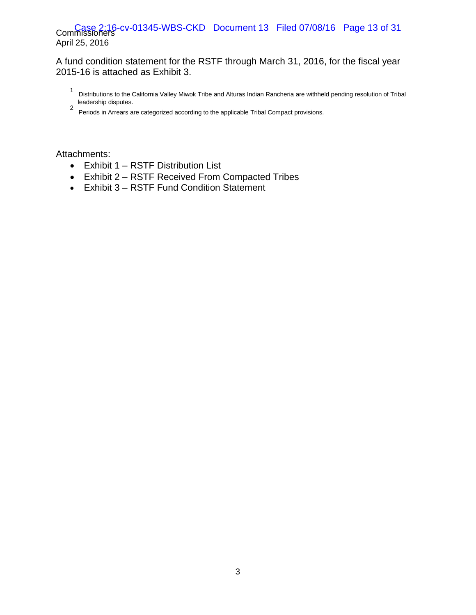## Case 2:16-cv-01345-WBS-CKD Document 13 Filed 07/08/16 Page 13 of 31 April 25, 2016

## A fund condition statement for the RSTF through March 31, 2016, for the fiscal year 2015-16 is attached as Exhibit 3.

- 1 Distributions to the California Valley Miwok Tribe and Alturas Indian Rancheria are withheld pending resolution of Tribal leadership disputes.
- 2 Periods in Arrears are categorized according to the applicable Tribal Compact provisions.

Attachments:

- Exhibit 1 RSTF Distribution List
- Exhibit 2 RSTF Received From Compacted Tribes
- Exhibit 3 RSTF Fund Condition Statement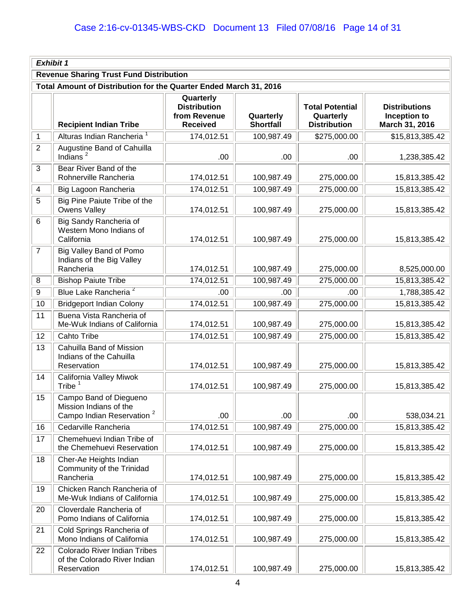|                         | <b>Exhibit 1</b>                                                                          |                                                                     |                               |                                                            |                                                        |
|-------------------------|-------------------------------------------------------------------------------------------|---------------------------------------------------------------------|-------------------------------|------------------------------------------------------------|--------------------------------------------------------|
|                         | <b>Revenue Sharing Trust Fund Distribution</b>                                            |                                                                     |                               |                                                            |                                                        |
|                         | Total Amount of Distribution for the Quarter Ended March 31, 2016                         |                                                                     |                               |                                                            |                                                        |
|                         | <b>Recipient Indian Tribe</b>                                                             | Quarterly<br><b>Distribution</b><br>from Revenue<br><b>Received</b> | Quarterly<br><b>Shortfall</b> | <b>Total Potential</b><br>Quarterly<br><b>Distribution</b> | <b>Distributions</b><br>Inception to<br>March 31, 2016 |
| $\mathbf 1$             | Alturas Indian Rancheria <sup>1</sup>                                                     | 174,012.51                                                          | 100,987.49                    | \$275,000.00                                               | \$15,813,385.42                                        |
| $\overline{2}$          | Augustine Band of Cahuilla<br>Indians $^2$                                                | .00                                                                 | .00                           | .00                                                        | 1,238,385.42                                           |
| $\mathbf{3}$            | Bear River Band of the<br>Rohnerville Rancheria                                           | 174,012.51                                                          | 100,987.49                    | 275,000.00                                                 | 15,813,385.42                                          |
| $\overline{\mathbf{4}}$ | Big Lagoon Rancheria                                                                      | 174,012.51                                                          | 100,987.49                    | 275,000.00                                                 | 15,813,385.42                                          |
| 5                       | Big Pine Paiute Tribe of the<br>Owens Valley                                              | 174,012.51                                                          | 100,987.49                    | 275,000.00                                                 | 15,813,385.42                                          |
| 6                       | Big Sandy Rancheria of<br>Western Mono Indians of<br>California                           | 174,012.51                                                          | 100,987.49                    | 275,000.00                                                 | 15,813,385.42                                          |
| $\overline{7}$          | Big Valley Band of Pomo<br>Indians of the Big Valley<br>Rancheria                         | 174,012.51                                                          | 100,987.49                    | 275,000.00                                                 | 8,525,000.00                                           |
| 8                       | <b>Bishop Paiute Tribe</b>                                                                | 174,012.51                                                          | 100,987.49                    | 275,000.00                                                 | 15,813,385.42                                          |
| $\boldsymbol{9}$        | Blue Lake Rancheria <sup>2</sup>                                                          | .00                                                                 | .00                           | .00                                                        | 1,788,385.42                                           |
| 10                      | <b>Bridgeport Indian Colony</b>                                                           | 174,012.51                                                          | 100,987.49                    | 275,000.00                                                 | 15,813,385.42                                          |
| 11                      | Buena Vista Rancheria of<br>Me-Wuk Indians of California                                  | 174,012.51                                                          | 100,987.49                    | 275,000.00                                                 | 15,813,385.42                                          |
| 12                      | Cahto Tribe                                                                               | 174,012.51                                                          | 100,987.49                    | 275,000.00                                                 | 15,813,385.42                                          |
| 13                      | Cahuilla Band of Mission<br>Indians of the Cahuilla<br>Reservation                        | 174,012.51                                                          | 100,987.49                    | 275,000.00                                                 | 15,813,385.42                                          |
| 14                      | California Valley Miwok<br>Tribe <sup>1</sup>                                             | 174,012.51                                                          | 100,987.49                    | 275,000.00                                                 | 15,813,385.42                                          |
| 15                      | Campo Band of Diegueno<br>Mission Indians of the<br>Campo Indian Reservation <sup>2</sup> | .00                                                                 | .00                           | .00                                                        | 538,034.21                                             |
| 16                      | Cedarville Rancheria                                                                      | 174,012.51                                                          | 100,987.49                    | 275,000.00                                                 | 15,813,385.42                                          |
| 17                      | Chemehuevi Indian Tribe of<br>the Chemehuevi Reservation                                  | 174,012.51                                                          | 100,987.49                    | 275,000.00                                                 | 15,813,385.42                                          |
| 18                      | Cher-Ae Heights Indian<br>Community of the Trinidad<br>Rancheria                          | 174,012.51                                                          | 100,987.49                    | 275,000.00                                                 | 15,813,385.42                                          |
| 19                      | Chicken Ranch Rancheria of<br>Me-Wuk Indians of California                                | 174,012.51                                                          | 100,987.49                    | 275,000.00                                                 | 15,813,385.42                                          |
| 20                      | Cloverdale Rancheria of<br>Pomo Indians of California                                     | 174,012.51                                                          | 100,987.49                    | 275,000.00                                                 | 15,813,385.42                                          |
| 21                      | Cold Springs Rancheria of<br>Mono Indians of California                                   | 174,012.51                                                          | 100,987.49                    | 275,000.00                                                 | 15,813,385.42                                          |
| 22                      | Colorado River Indian Tribes<br>of the Colorado River Indian<br>Reservation               | 174,012.51                                                          | 100,987.49                    | 275,000.00                                                 | 15,813,385.42                                          |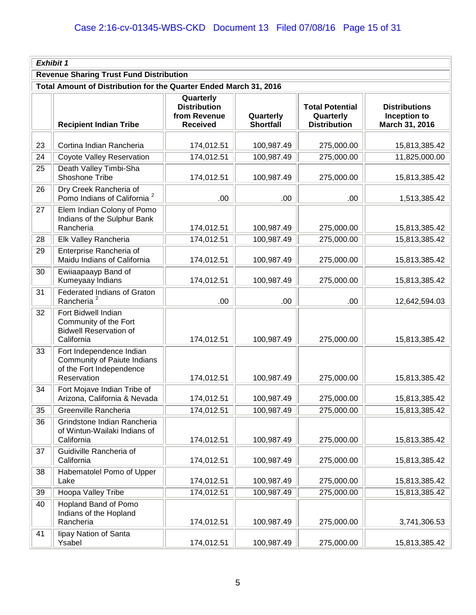|    | Exhibit 1                                                                                          |                                                                     |                               |                                                            |                                                        |  |
|----|----------------------------------------------------------------------------------------------------|---------------------------------------------------------------------|-------------------------------|------------------------------------------------------------|--------------------------------------------------------|--|
|    | <b>Revenue Sharing Trust Fund Distribution</b>                                                     |                                                                     |                               |                                                            |                                                        |  |
|    | Total Amount of Distribution for the Quarter Ended March 31, 2016                                  |                                                                     |                               |                                                            |                                                        |  |
|    | <b>Recipient Indian Tribe</b>                                                                      | Quarterly<br><b>Distribution</b><br>from Revenue<br><b>Received</b> | Quarterly<br><b>Shortfall</b> | <b>Total Potential</b><br>Quarterly<br><b>Distribution</b> | <b>Distributions</b><br>Inception to<br>March 31, 2016 |  |
| 23 | Cortina Indian Rancheria                                                                           | 174,012.51                                                          | 100,987.49                    | 275,000.00                                                 | 15,813,385.42                                          |  |
| 24 | Coyote Valley Reservation                                                                          | 174,012.51                                                          | 100,987.49                    | 275,000.00                                                 | 11,825,000.00                                          |  |
| 25 | Death Valley Timbi-Sha<br>Shoshone Tribe                                                           | 174,012.51                                                          | 100,987.49                    | 275,000.00                                                 | 15,813,385.42                                          |  |
| 26 | Dry Creek Rancheria of<br>Pomo Indians of California <sup>2</sup>                                  | .00                                                                 | .00                           | .00                                                        | 1,513,385.42                                           |  |
| 27 | Elem Indian Colony of Pomo<br>Indians of the Sulphur Bank<br>Rancheria                             | 174,012.51                                                          | 100,987.49                    | 275,000.00                                                 | 15,813,385.42                                          |  |
| 28 | Elk Valley Rancheria                                                                               | 174,012.51                                                          | 100,987.49                    | 275,000.00                                                 | 15,813,385.42                                          |  |
| 29 | Enterprise Rancheria of<br>Maidu Indians of California                                             | 174,012.51                                                          | 100,987.49                    | 275,000.00                                                 | 15,813,385.42                                          |  |
| 30 | Ewiiaapaayp Band of<br>Kumeyaay Indians                                                            | 174,012.51                                                          | 100,987.49                    | 275,000.00                                                 | 15,813,385.42                                          |  |
| 31 | Federated Indians of Graton<br>Rancheria <sup>2</sup>                                              | .00                                                                 | .00                           | .00                                                        | 12,642,594.03                                          |  |
| 32 | Fort Bidwell Indian<br>Community of the Fort<br><b>Bidwell Reservation of</b><br>California        | 174,012.51                                                          | 100,987.49                    | 275,000.00                                                 | 15,813,385.42                                          |  |
| 33 | Fort Independence Indian<br>Community of Paiute Indians<br>of the Fort Independence<br>Reservation | 174,012.51                                                          | 100,987.49                    | 275,000.00                                                 | 15,813,385.42                                          |  |
| 34 | Fort Mojave Indian Tribe of<br>Arizona, California & Nevada                                        | 174,012.51                                                          | 100,987.49                    | 275,000.00                                                 | 15,813,385.42                                          |  |
| 35 | Greenville Rancheria                                                                               | 174,012.51                                                          | 100,987.49                    | 275,000.00                                                 | 15,813,385.42                                          |  |
| 36 | Grindstone Indian Rancheria<br>of Wintun-Wailaki Indians of<br>California                          | 174,012.51                                                          | 100,987.49                    | 275,000.00                                                 | 15,813,385.42                                          |  |
| 37 | Guidiville Rancheria of<br>California                                                              | 174,012.51                                                          | 100,987.49                    | 275,000.00                                                 | 15,813,385.42                                          |  |
| 38 | Habematolel Pomo of Upper<br>Lake                                                                  | 174,012.51                                                          | 100,987.49                    | 275,000.00                                                 | 15,813,385.42                                          |  |
| 39 | Hoopa Valley Tribe                                                                                 | 174,012.51                                                          | 100,987.49                    | 275,000.00                                                 | 15,813,385.42                                          |  |
| 40 | Hopland Band of Pomo<br>Indians of the Hopland<br>Rancheria                                        | 174,012.51                                                          | 100,987.49                    | 275,000.00                                                 | 3,741,306.53                                           |  |
| 41 | lipay Nation of Santa<br>Ysabel                                                                    | 174,012.51                                                          | 100,987.49                    | 275,000.00                                                 | 15,813,385.42                                          |  |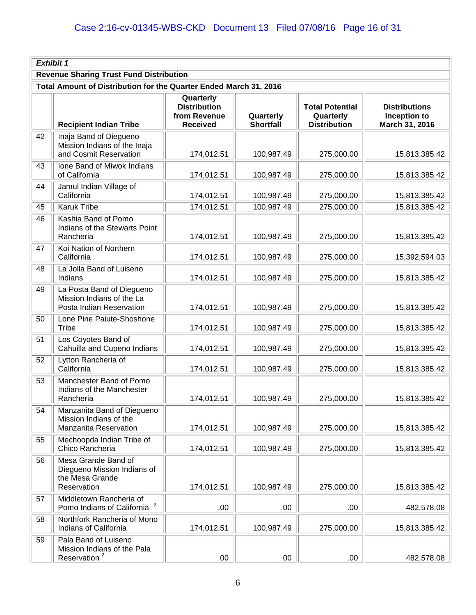|    | Exhibit 1                                                                            |                                                                     |                               |                                                            |                                                        |  |
|----|--------------------------------------------------------------------------------------|---------------------------------------------------------------------|-------------------------------|------------------------------------------------------------|--------------------------------------------------------|--|
|    | <b>Revenue Sharing Trust Fund Distribution</b>                                       |                                                                     |                               |                                                            |                                                        |  |
|    | Total Amount of Distribution for the Quarter Ended March 31, 2016                    |                                                                     |                               |                                                            |                                                        |  |
|    | <b>Recipient Indian Tribe</b>                                                        | Quarterly<br><b>Distribution</b><br>from Revenue<br><b>Received</b> | Quarterly<br><b>Shortfall</b> | <b>Total Potential</b><br>Quarterly<br><b>Distribution</b> | <b>Distributions</b><br>Inception to<br>March 31, 2016 |  |
| 42 | Inaja Band of Diegueno<br>Mission Indians of the Inaja<br>and Cosmit Reservation     | 174,012.51                                                          | 100,987.49                    | 275,000.00                                                 | 15,813,385.42                                          |  |
| 43 | Ione Band of Miwok Indians<br>of California                                          | 174,012.51                                                          | 100,987.49                    | 275,000.00                                                 | 15,813,385.42                                          |  |
| 44 | Jamul Indian Village of<br>California                                                | 174,012.51                                                          | 100,987.49                    | 275,000.00                                                 | 15,813,385.42                                          |  |
| 45 | <b>Karuk Tribe</b>                                                                   | 174,012.51                                                          | 100,987.49                    | 275,000.00                                                 | 15,813,385.42                                          |  |
| 46 | Kashia Band of Pomo<br>Indians of the Stewarts Point<br>Rancheria                    | 174,012.51                                                          | 100,987.49                    | 275,000.00                                                 | 15,813,385.42                                          |  |
| 47 | Koi Nation of Northern<br>California                                                 | 174,012.51                                                          | 100,987.49                    | 275,000.00                                                 | 15,392,594.03                                          |  |
| 48 | La Jolla Band of Luiseno<br>Indians                                                  | 174,012.51                                                          | 100,987.49                    | 275,000.00                                                 | 15,813,385.42                                          |  |
| 49 | La Posta Band of Diegueno<br>Mission Indians of the La<br>Posta Indian Reservation   | 174,012.51                                                          | 100,987.49                    | 275,000.00                                                 | 15,813,385.42                                          |  |
| 50 | Lone Pine Paiute-Shoshone<br>Tribe                                                   | 174,012.51                                                          | 100,987.49                    | 275,000.00                                                 | 15,813,385.42                                          |  |
| 51 | Los Coyotes Band of<br>Cahuilla and Cupeno Indians                                   | 174,012.51                                                          | 100,987.49                    | 275,000.00                                                 | 15,813,385.42                                          |  |
| 52 | Lytton Rancheria of<br>California                                                    | 174,012.51                                                          | 100,987.49                    | 275,000.00                                                 | 15,813,385.42                                          |  |
| 53 | Manchester Band of Pomo<br>Indians of the Manchester<br>Rancheria                    | 174,012.51                                                          | 100,987.49                    | 275,000.00                                                 | 15,813,385.42                                          |  |
| 54 | Manzanita Band of Diegueno<br>Mission Indians of the<br>Manzanita Reservation        | 174,012.51                                                          | 100,987.49                    | 275,000.00                                                 | 15,813,385.42                                          |  |
| 55 | Mechoopda Indian Tribe of<br>Chico Rancheria                                         | 174,012.51                                                          | 100,987.49                    | 275,000.00                                                 | 15,813,385.42                                          |  |
| 56 | Mesa Grande Band of<br>Diegueno Mission Indians of<br>the Mesa Grande<br>Reservation | 174,012.51                                                          | 100,987.49                    | 275,000.00                                                 | 15,813,385.42                                          |  |
| 57 | Middletown Rancheria of<br>Pomo Indians of California                                | .00                                                                 | .00                           | .00                                                        | 482,578.08                                             |  |
| 58 | Northfork Rancheria of Mono<br>Indians of California                                 | 174,012.51                                                          | 100,987.49                    | 275,000.00                                                 | 15,813,385.42                                          |  |
| 59 | Pala Band of Luiseno<br>Mission Indians of the Pala<br>Reservation <sup>2</sup>      | .00                                                                 | .00                           | .00.                                                       | 482,578.08                                             |  |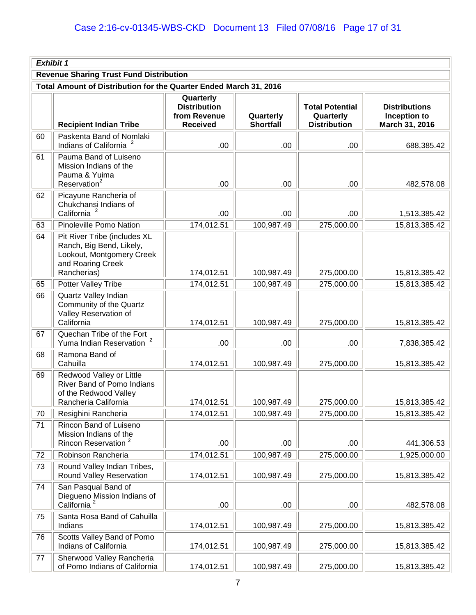|    | Exhibit 1                                                                                                                 |                                                                     |                               |                                                            |                                                        |  |
|----|---------------------------------------------------------------------------------------------------------------------------|---------------------------------------------------------------------|-------------------------------|------------------------------------------------------------|--------------------------------------------------------|--|
|    | <b>Revenue Sharing Trust Fund Distribution</b>                                                                            |                                                                     |                               |                                                            |                                                        |  |
|    | Total Amount of Distribution for the Quarter Ended March 31, 2016                                                         |                                                                     |                               |                                                            |                                                        |  |
|    | <b>Recipient Indian Tribe</b>                                                                                             | Quarterly<br><b>Distribution</b><br>from Revenue<br><b>Received</b> | Quarterly<br><b>Shortfall</b> | <b>Total Potential</b><br>Quarterly<br><b>Distribution</b> | <b>Distributions</b><br>Inception to<br>March 31, 2016 |  |
| 60 | Paskenta Band of Nomlaki<br>Indians of California                                                                         | .00                                                                 | .00.                          | .00                                                        | 688,385.42                                             |  |
| 61 | Pauma Band of Luiseno<br>Mission Indians of the<br>Pauma & Yuima<br>Reservation <sup>2</sup>                              | .00                                                                 | .00                           | .00                                                        | 482,578.08                                             |  |
| 62 | Picayune Rancheria of<br>Chukchansi Indians of<br>California                                                              | .00                                                                 | .00.                          | .00                                                        | 1,513,385.42                                           |  |
| 63 | Pinoleville Pomo Nation                                                                                                   | 174,012.51                                                          | 100,987.49                    | 275,000.00                                                 | 15,813,385.42                                          |  |
| 64 | Pit River Tribe (includes XL<br>Ranch, Big Bend, Likely,<br>Lookout, Montgomery Creek<br>and Roaring Creek<br>Rancherias) | 174,012.51                                                          | 100,987.49                    | 275,000.00                                                 | 15,813,385.42                                          |  |
| 65 | Potter Valley Tribe                                                                                                       | 174,012.51                                                          | 100,987.49                    | 275,000.00                                                 | 15,813,385.42                                          |  |
| 66 | Quartz Valley Indian<br>Community of the Quartz<br>Valley Reservation of<br>California                                    | 174,012.51                                                          | 100,987.49                    | 275,000.00                                                 | 15,813,385.42                                          |  |
| 67 | Quechan Tribe of the Fort<br>Yuma Indian Reservation                                                                      | .00                                                                 | .00.                          | .00                                                        | 7,838,385.42                                           |  |
| 68 | Ramona Band of<br>Cahuilla                                                                                                | 174,012.51                                                          | 100,987.49                    | 275,000.00                                                 | 15,813,385.42                                          |  |
| 69 | Redwood Valley or Little<br>River Band of Pomo Indians<br>of the Redwood Valley<br>Rancheria California                   | 174,012.51                                                          | 100,987.49                    | 275,000.00                                                 | 15,813,385.42                                          |  |
| 70 | Resighini Rancheria                                                                                                       | 174,012.51                                                          | 100,987.49                    | 275,000.00                                                 | 15,813,385.42                                          |  |
| 71 | Rincon Band of Luiseno<br>Mission Indians of the<br>Rincon Reservation <sup>2</sup>                                       | .00                                                                 | .00.                          | .00                                                        | 441,306.53                                             |  |
| 72 | Robinson Rancheria                                                                                                        | 174,012.51                                                          | 100,987.49                    | 275,000.00                                                 | 1,925,000.00                                           |  |
| 73 | Round Valley Indian Tribes,<br>Round Valley Reservation                                                                   | 174,012.51                                                          | 100,987.49                    | 275,000.00                                                 | 15,813,385.42                                          |  |
| 74 | San Pasqual Band of<br>Diegueno Mission Indians of<br>California <sup>2</sup>                                             | .00                                                                 | .00                           | .00                                                        | 482,578.08                                             |  |
| 75 | Santa Rosa Band of Cahuilla<br>Indians                                                                                    | 174,012.51                                                          | 100,987.49                    | 275,000.00                                                 | 15,813,385.42                                          |  |
| 76 | Scotts Valley Band of Pomo<br>Indians of California                                                                       | 174,012.51                                                          | 100,987.49                    | 275,000.00                                                 | 15,813,385.42                                          |  |
| 77 | Sherwood Valley Rancheria<br>of Pomo Indians of California                                                                | 174,012.51                                                          | 100,987.49                    | 275,000.00                                                 | 15,813,385.42                                          |  |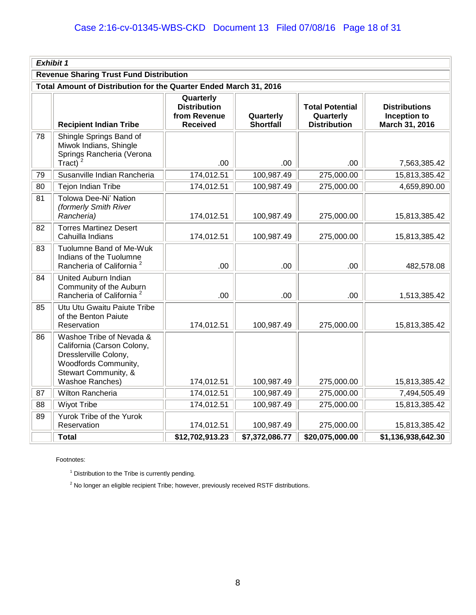|    | Exhibit 1                                                                                                                                          |                                                                     |                               |                                                            |                                                        |
|----|----------------------------------------------------------------------------------------------------------------------------------------------------|---------------------------------------------------------------------|-------------------------------|------------------------------------------------------------|--------------------------------------------------------|
|    | <b>Revenue Sharing Trust Fund Distribution</b>                                                                                                     |                                                                     |                               |                                                            |                                                        |
|    | Total Amount of Distribution for the Quarter Ended March 31, 2016                                                                                  |                                                                     |                               |                                                            |                                                        |
|    | <b>Recipient Indian Tribe</b>                                                                                                                      | Quarterly<br><b>Distribution</b><br>from Revenue<br><b>Received</b> | Quarterly<br><b>Shortfall</b> | <b>Total Potential</b><br>Quarterly<br><b>Distribution</b> | <b>Distributions</b><br>Inception to<br>March 31, 2016 |
| 78 | Shingle Springs Band of<br>Miwok Indians, Shingle<br>Springs Rancheria (Verona<br>Tract)                                                           | .00                                                                 | .00.                          | .00                                                        | 7,563,385.42                                           |
| 79 | Susanville Indian Rancheria                                                                                                                        | 174,012.51                                                          | 100,987.49                    | 275,000.00                                                 | 15,813,385.42                                          |
| 80 | Tejon Indian Tribe                                                                                                                                 | 174,012.51                                                          | 100,987.49                    | 275,000.00                                                 | 4,659,890.00                                           |
| 81 | Tolowa Dee-Ni' Nation<br>(formerly Smith River<br>Rancheria)                                                                                       | 174,012.51                                                          | 100,987.49                    | 275,000.00                                                 | 15,813,385.42                                          |
| 82 | <b>Torres Martinez Desert</b><br>Cahuilla Indians                                                                                                  | 174,012.51                                                          | 100,987.49                    | 275,000.00                                                 | 15,813,385.42                                          |
| 83 | Tuolumne Band of Me-Wuk<br>Indians of the Tuolumne<br>Rancheria of California <sup>2</sup>                                                         | .00                                                                 | .00                           | .00                                                        | 482,578.08                                             |
| 84 | United Auburn Indian<br>Community of the Auburn<br>Rancheria of California <sup>2</sup>                                                            | .00                                                                 | .00                           | .00                                                        | 1,513,385.42                                           |
| 85 | Utu Utu Gwaitu Paiute Tribe<br>of the Benton Paiute<br>Reservation                                                                                 | 174,012.51                                                          | 100,987.49                    | 275,000.00                                                 | 15,813,385.42                                          |
| 86 | Washoe Tribe of Nevada &<br>California (Carson Colony,<br>Dresslerville Colony,<br>Woodfords Community,<br>Stewart Community, &<br>Washoe Ranches) | 174,012.51                                                          | 100,987.49                    | 275,000.00                                                 | 15,813,385.42                                          |
| 87 | Wilton Rancheria                                                                                                                                   | 174,012.51                                                          | 100,987.49                    | 275,000.00                                                 | 7,494,505.49                                           |
| 88 | <b>Wiyot Tribe</b>                                                                                                                                 | 174,012.51                                                          | 100,987.49                    | 275,000.00                                                 | 15,813,385.42                                          |
| 89 | Yurok Tribe of the Yurok<br>Reservation                                                                                                            | 174,012.51                                                          | 100,987.49                    | 275,000.00                                                 | 15,813,385.42                                          |
|    | <b>Total</b>                                                                                                                                       | \$12,702,913.23                                                     | \$7,372,086.77                | \$20,075,000.00                                            | \$1,136,938,642.30                                     |

Footnotes:

 $1$  Distribution to the Tribe is currently pending.

 $2$  No longer an eligible recipient Tribe; however, previously received RSTF distributions.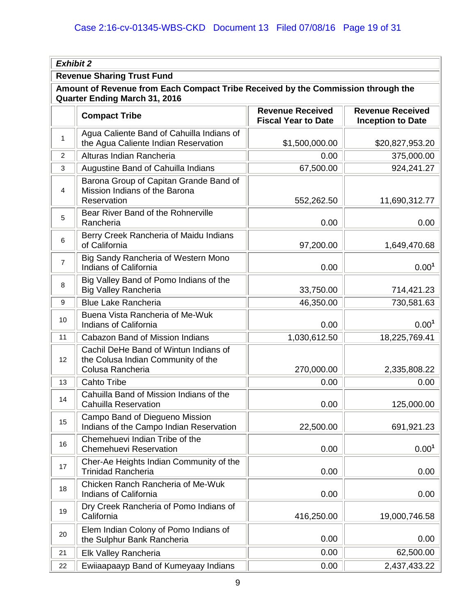| <b>Exhibit 2</b>                                                                                                         |                                                                                                 |                                                       |                                                     |  |  |
|--------------------------------------------------------------------------------------------------------------------------|-------------------------------------------------------------------------------------------------|-------------------------------------------------------|-----------------------------------------------------|--|--|
| <b>Revenue Sharing Trust Fund</b>                                                                                        |                                                                                                 |                                                       |                                                     |  |  |
| Amount of Revenue from Each Compact Tribe Received by the Commission through the<br><b>Quarter Ending March 31, 2016</b> |                                                                                                 |                                                       |                                                     |  |  |
|                                                                                                                          | <b>Compact Tribe</b>                                                                            | <b>Revenue Received</b><br><b>Fiscal Year to Date</b> | <b>Revenue Received</b><br><b>Inception to Date</b> |  |  |
| $\mathbf{1}$                                                                                                             | Agua Caliente Band of Cahuilla Indians of<br>the Agua Caliente Indian Reservation               | \$1,500,000.00                                        | \$20,827,953.20                                     |  |  |
| $\overline{2}$                                                                                                           | Alturas Indian Rancheria                                                                        | 0.00                                                  | 375,000.00                                          |  |  |
| 3                                                                                                                        | Augustine Band of Cahuilla Indians                                                              | 67,500.00                                             | 924,241.27                                          |  |  |
| $\overline{4}$                                                                                                           | Barona Group of Capitan Grande Band of<br>Mission Indians of the Barona<br>Reservation          | 552,262.50                                            | 11,690,312.77                                       |  |  |
| 5                                                                                                                        | Bear River Band of the Rohnerville<br>Rancheria                                                 | 0.00                                                  | 0.00                                                |  |  |
| 6                                                                                                                        | Berry Creek Rancheria of Maidu Indians<br>of California                                         | 97,200.00                                             | 1,649,470.68                                        |  |  |
| $\overline{7}$                                                                                                           | Big Sandy Rancheria of Western Mono<br>Indians of California                                    | 0.00                                                  | 0.00 <sup>1</sup>                                   |  |  |
| 8                                                                                                                        | Big Valley Band of Pomo Indians of the<br><b>Big Valley Rancheria</b>                           | 33,750.00                                             | 714,421.23                                          |  |  |
| 9                                                                                                                        | <b>Blue Lake Rancheria</b>                                                                      | 46,350.00                                             | 730,581.63                                          |  |  |
| 10                                                                                                                       | Buena Vista Rancheria of Me-Wuk<br>Indians of California                                        | 0.00                                                  | 0.00 <sup>1</sup>                                   |  |  |
| 11                                                                                                                       | Cabazon Band of Mission Indians                                                                 | 1,030,612.50                                          | 18,225,769.41                                       |  |  |
| 12                                                                                                                       | Cachil DeHe Band of Wintun Indians of<br>the Colusa Indian Community of the<br>Colusa Rancheria | 270,000.00                                            | 2,335,808.22                                        |  |  |
| 13                                                                                                                       | <b>Cahto Tribe</b>                                                                              | 0.00                                                  | 0.00                                                |  |  |
| 14                                                                                                                       | Cahuilla Band of Mission Indians of the<br><b>Cahuilla Reservation</b>                          | 0.00                                                  | 125,000.00                                          |  |  |
| 15                                                                                                                       | Campo Band of Diegueno Mission<br>Indians of the Campo Indian Reservation                       | 22,500.00                                             | 691,921.23                                          |  |  |
| 16                                                                                                                       | Chemehuevi Indian Tribe of the<br><b>Chemehuevi Reservation</b>                                 | 0.00                                                  | 0.00 <sup>1</sup>                                   |  |  |
| 17                                                                                                                       | Cher-Ae Heights Indian Community of the<br><b>Trinidad Rancheria</b>                            | 0.00                                                  | 0.00                                                |  |  |
| 18                                                                                                                       | Chicken Ranch Rancheria of Me-Wuk<br>Indians of California                                      | 0.00                                                  | 0.00                                                |  |  |
| 19                                                                                                                       | Dry Creek Rancheria of Pomo Indians of<br>California                                            | 416,250.00                                            | 19,000,746.58                                       |  |  |
| 20                                                                                                                       | Elem Indian Colony of Pomo Indians of<br>the Sulphur Bank Rancheria                             | 0.00                                                  | 0.00                                                |  |  |
| 21                                                                                                                       | Elk Valley Rancheria                                                                            | 0.00                                                  | 62,500.00                                           |  |  |
| 22                                                                                                                       | Ewiiaapaayp Band of Kumeyaay Indians                                                            | 0.00                                                  | 2,437,433.22                                        |  |  |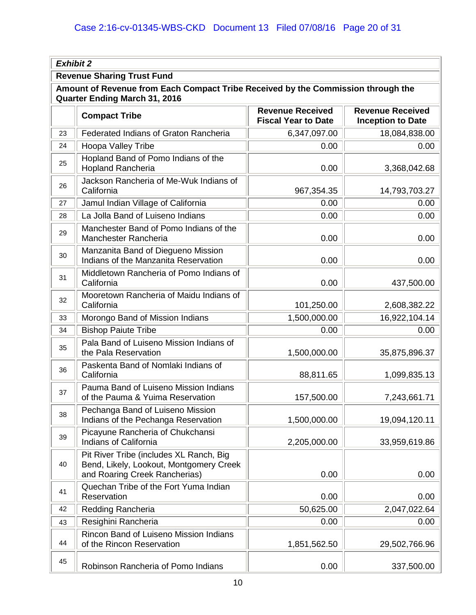| <b>Exhibit 2</b>                                                                                                         |                                                                                                                     |                                                       |                                                     |  |  |
|--------------------------------------------------------------------------------------------------------------------------|---------------------------------------------------------------------------------------------------------------------|-------------------------------------------------------|-----------------------------------------------------|--|--|
| <b>Revenue Sharing Trust Fund</b>                                                                                        |                                                                                                                     |                                                       |                                                     |  |  |
| Amount of Revenue from Each Compact Tribe Received by the Commission through the<br><b>Quarter Ending March 31, 2016</b> |                                                                                                                     |                                                       |                                                     |  |  |
|                                                                                                                          | <b>Compact Tribe</b>                                                                                                | <b>Revenue Received</b><br><b>Fiscal Year to Date</b> | <b>Revenue Received</b><br><b>Inception to Date</b> |  |  |
| 23                                                                                                                       | Federated Indians of Graton Rancheria                                                                               | 6,347,097.00                                          | 18,084,838.00                                       |  |  |
| 24                                                                                                                       | Hoopa Valley Tribe                                                                                                  | 0.00                                                  | 0.00                                                |  |  |
| 25                                                                                                                       | Hopland Band of Pomo Indians of the<br><b>Hopland Rancheria</b>                                                     | 0.00                                                  | 3,368,042.68                                        |  |  |
| 26                                                                                                                       | Jackson Rancheria of Me-Wuk Indians of<br>California                                                                | 967,354.35                                            | 14,793,703.27                                       |  |  |
| 27                                                                                                                       | Jamul Indian Village of California                                                                                  | 0.00                                                  | 0.00                                                |  |  |
| 28                                                                                                                       | La Jolla Band of Luiseno Indians                                                                                    | 0.00                                                  | 0.00                                                |  |  |
| 29                                                                                                                       | Manchester Band of Pomo Indians of the<br>Manchester Rancheria                                                      | 0.00                                                  | 0.00                                                |  |  |
| 30                                                                                                                       | Manzanita Band of Diegueno Mission<br>Indians of the Manzanita Reservation                                          | 0.00                                                  | 0.00                                                |  |  |
| 31                                                                                                                       | Middletown Rancheria of Pomo Indians of<br>California                                                               | 0.00                                                  | 437,500.00                                          |  |  |
| 32                                                                                                                       | Mooretown Rancheria of Maidu Indians of<br>California                                                               | 101,250.00                                            | 2,608,382.22                                        |  |  |
| 33                                                                                                                       | Morongo Band of Mission Indians                                                                                     | 1,500,000.00                                          | 16,922,104.14                                       |  |  |
| 34                                                                                                                       | <b>Bishop Paiute Tribe</b>                                                                                          | 0.00                                                  | 0.00                                                |  |  |
| 35                                                                                                                       | Pala Band of Luiseno Mission Indians of<br>the Pala Reservation                                                     | 1,500,000.00                                          | 35,875,896.37                                       |  |  |
| 36                                                                                                                       | Paskenta Band of Nomlaki Indians of<br>California                                                                   | 88,811.65                                             | 1,099,835.13                                        |  |  |
| 37                                                                                                                       | Pauma Band of Luiseno Mission Indians<br>of the Pauma & Yuima Reservation                                           | 157,500.00                                            | 7,243,661.71                                        |  |  |
| 38                                                                                                                       | Pechanga Band of Luiseno Mission<br>Indians of the Pechanga Reservation                                             | 1,500,000.00                                          | 19,094,120.11                                       |  |  |
| 39                                                                                                                       | Picayune Rancheria of Chukchansi<br>Indians of California                                                           | 2,205,000.00                                          | 33,959,619.86                                       |  |  |
| 40                                                                                                                       | Pit River Tribe (includes XL Ranch, Big<br>Bend, Likely, Lookout, Montgomery Creek<br>and Roaring Creek Rancherias) | 0.00                                                  | 0.00                                                |  |  |
| 41                                                                                                                       | Quechan Tribe of the Fort Yuma Indian<br>Reservation                                                                | 0.00                                                  | 0.00                                                |  |  |
| 42                                                                                                                       | Redding Rancheria                                                                                                   | 50,625.00                                             | 2,047,022.64                                        |  |  |
| 43                                                                                                                       | Resighini Rancheria                                                                                                 | 0.00                                                  | 0.00                                                |  |  |
| 44                                                                                                                       | Rincon Band of Luiseno Mission Indians<br>of the Rincon Reservation                                                 | 1,851,562.50                                          | 29,502,766.96                                       |  |  |
| 45                                                                                                                       | Robinson Rancheria of Pomo Indians                                                                                  | 0.00                                                  | 337,500.00                                          |  |  |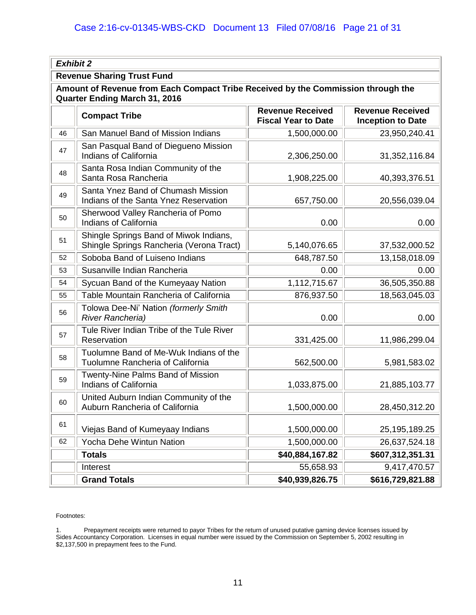|                                                                                                                          | <b>Exhibit 2</b>                                                                   |                                                       |                                                     |  |  |
|--------------------------------------------------------------------------------------------------------------------------|------------------------------------------------------------------------------------|-------------------------------------------------------|-----------------------------------------------------|--|--|
|                                                                                                                          | <b>Revenue Sharing Trust Fund</b>                                                  |                                                       |                                                     |  |  |
| Amount of Revenue from Each Compact Tribe Received by the Commission through the<br><b>Quarter Ending March 31, 2016</b> |                                                                                    |                                                       |                                                     |  |  |
|                                                                                                                          | <b>Compact Tribe</b>                                                               | <b>Revenue Received</b><br><b>Fiscal Year to Date</b> | <b>Revenue Received</b><br><b>Inception to Date</b> |  |  |
| 46                                                                                                                       | San Manuel Band of Mission Indians                                                 | 1,500,000.00                                          | 23,950,240.41                                       |  |  |
| 47                                                                                                                       | San Pasqual Band of Diegueno Mission<br>Indians of California                      | 2,306,250.00                                          | 31,352,116.84                                       |  |  |
| 48                                                                                                                       | Santa Rosa Indian Community of the<br>Santa Rosa Rancheria                         | 1,908,225.00                                          | 40,393,376.51                                       |  |  |
| 49                                                                                                                       | Santa Ynez Band of Chumash Mission<br>Indians of the Santa Ynez Reservation        | 657,750.00                                            | 20,556,039.04                                       |  |  |
| 50                                                                                                                       | Sherwood Valley Rancheria of Pomo<br><b>Indians of California</b>                  | 0.00                                                  | 0.00                                                |  |  |
| 51                                                                                                                       | Shingle Springs Band of Miwok Indians,<br>Shingle Springs Rancheria (Verona Tract) | 5,140,076.65                                          | 37,532,000.52                                       |  |  |
| 52                                                                                                                       | Soboba Band of Luiseno Indians                                                     | 648,787.50                                            | 13,158,018.09                                       |  |  |
| 53                                                                                                                       | Susanville Indian Rancheria                                                        | 0.00                                                  | 0.00                                                |  |  |
| 54                                                                                                                       | Sycuan Band of the Kumeyaay Nation                                                 | 1,112,715.67                                          | 36,505,350.88                                       |  |  |
| 55                                                                                                                       | Table Mountain Rancheria of California                                             | 876,937.50                                            | 18,563,045.03                                       |  |  |
| 56                                                                                                                       | Tolowa Dee-Ni' Nation (formerly Smith<br><b>River Rancheria)</b>                   | 0.00                                                  | 0.00                                                |  |  |
| 57                                                                                                                       | Tule River Indian Tribe of the Tule River<br>Reservation                           | 331,425.00                                            | 11,986,299.04                                       |  |  |
| 58                                                                                                                       | Tuolumne Band of Me-Wuk Indians of the<br>Tuolumne Rancheria of California         | 562,500.00                                            | 5,981,583.02                                        |  |  |
| 59                                                                                                                       | <b>Twenty-Nine Palms Band of Mission</b><br><b>Indians of California</b>           | 1,033,875.00                                          | 21,885,103.77                                       |  |  |
| 60                                                                                                                       | United Auburn Indian Community of the<br>Auburn Rancheria of California            | 1,500,000.00                                          | 28,450,312.20                                       |  |  |
| 61                                                                                                                       | Viejas Band of Kumeyaay Indians                                                    | 1,500,000.00                                          | 25, 195, 189. 25                                    |  |  |
| 62                                                                                                                       | Yocha Dehe Wintun Nation                                                           | 1,500,000.00                                          | 26,637,524.18                                       |  |  |
|                                                                                                                          | <b>Totals</b>                                                                      | \$40,884,167.82                                       | \$607,312,351.31                                    |  |  |
|                                                                                                                          | Interest                                                                           | 55,658.93                                             | 9,417,470.57                                        |  |  |
|                                                                                                                          | <b>Grand Totals</b>                                                                | \$40,939,826.75                                       | \$616,729,821.88                                    |  |  |

Footnotes:

1. Prepayment receipts were returned to payor Tribes for the return of unused putative gaming device licenses issued by Sides Accountancy Corporation. Licenses in equal number were issued by the Commission on September 5, 2002 resulting in \$2,137,500 in prepayment fees to the Fund.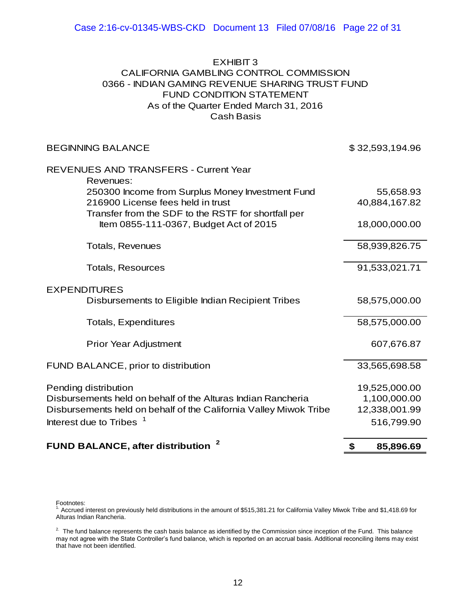## Cash Basis EXHIBIT<sub>3</sub> CALIFORNIA GAMBLING CONTROL COMMISSION 0366 - INDIAN GAMING REVENUE SHARING TRUST FUND FUND CONDITION STATEMENT As of the Quarter Ended March 31, 2016

| <b>BEGINNING BALANCE</b>                                                                      | \$32,593,194.96 |
|-----------------------------------------------------------------------------------------------|-----------------|
| <b>REVENUES AND TRANSFERS - Current Year</b><br>Revenues:                                     |                 |
| 250300 Income from Surplus Money Investment Fund                                              | 55,658.93       |
| 216900 License fees held in trust                                                             | 40,884,167.82   |
| Transfer from the SDF to the RSTF for shortfall per<br>Item 0855-111-0367, Budget Act of 2015 | 18,000,000.00   |
| <b>Totals, Revenues</b>                                                                       | 58,939,826.75   |
| <b>Totals, Resources</b>                                                                      | 91,533,021.71   |
| <b>EXPENDITURES</b>                                                                           |                 |
| Disbursements to Eligible Indian Recipient Tribes                                             | 58,575,000.00   |
| <b>Totals, Expenditures</b>                                                                   | 58,575,000.00   |
| <b>Prior Year Adjustment</b>                                                                  | 607,676.87      |
| FUND BALANCE, prior to distribution                                                           | 33,565,698.58   |
| Pending distribution                                                                          | 19,525,000.00   |
| Disbursements held on behalf of the Alturas Indian Rancheria                                  | 1,100,000.00    |
| Disbursements held on behalf of the California Valley Miwok Tribe                             | 12,338,001.99   |
| Interest due to Tribes <sup>1</sup>                                                           | 516,799.90      |
| 2<br><b>FUND BALANCE, after distribution</b>                                                  | \$<br>85,896.69 |

Footnotes:<br><sup>1.</sup> Accrued interest on previously held distributions in the amount of \$515,381.21 for California Valley Miwok Tribe and \$1,418.69 for Alturas Indian Rancheria.

 $2^2$  The fund balance represents the cash basis balance as identified by the Commission since inception of the Fund. This balance may not agree with the State Controller's fund balance, which is reported on an accrual basis. Additional reconciling items may exist that have not been identified.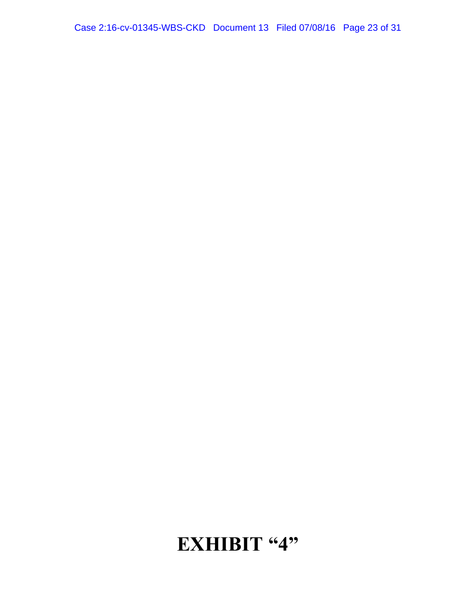# **EXHIBIT "4"**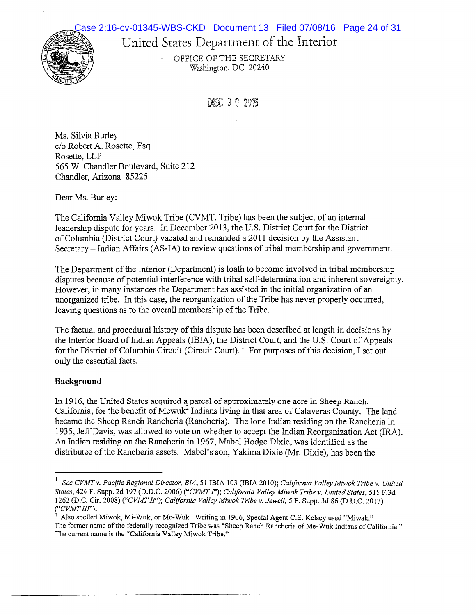# United States Department of the Interior Case 2:16-cv-01345-WBS-CKD Document 13 Filed 07/08/16 Page 24 of 31

OFFICE OF THE SECRETARY Washington, DC 20240

DEC 30 2015

Ms. Silvia Burley c/o Robert A. Rosette, Esq. Rosette, LLP 565 W. Chandler Boulevard, Suite 212 Chandler, Arizona 85225

Dear Ms. Burley:

**ROH 3.** 

The California Valley Miwok Tribe (CVMT, Tribe) has been the subject of an internal leadership dispute for years. In December 2013, the U.S. District Court for the District of Columbia (District Court) vacated and remanded a 2011 decision by the Assistant Secretary – Indian Affairs (AS-IA) to review questions of tribal membership and government.

The Department of the Interior (Department) is loath to become involved in tribal membership disputes because of potential interference with tribal self-determination and inherent sovereignty. However, in many instances the Department has assisted in the initial organization of an unorganized tribe. In this case, the reorganization of the Tribe has never properly occurred, leaving questions as to the overall membership of the Tribe.

The factual and procedural history of this dispute has been described at length in decisions by the Interior Board of Indian Appeals (IBIA), the District Court, and the U.S. Court of Appeals for the District of Columbia Circuit (Circuit Court).  $\frac{1}{1}$  For purposes of this decision, I set out only the essential facts.

## Background

In 1916, the United States acquired a parcel of approximately one acre in Sheep Ranch, California, for the benefit of Mewuk<sup>2</sup> Indians living in that area of Calaveras County. The land became the Sheep Ranch Rancheria (Rancheria). The lone Indian residing on the Rancheria in 1935, Jeff Davis, was allowed to vote on whether to accept the Indian Reorganization Act (IRA). An Indian residing on the Rancheria in 1967, Mabel Hodge Dixie, was identified as the distributee ofthe Rancheria assets. Mabel's son, Yakima Dixie (Mr. Dixie), has been the

See CVMT v. Pacific Regional Director, BIA, 51 IBIA 103 (IBIA 2010); California Valley Miwok Tribe v. United States, 424 F. Supp. 2d 197 (D.D.C. 2006) ("CVMT I"); California Valley Miwok Tribe v. United States, 515 F.3d 1262 (D.C. Cir. 2008) ("CVMT II"); California Valley Miwok Tribe v. Jewell, 5 F. Supp. 3d 86 (D.D.C. 2013)  $($ "CVMT III").

<sup>2</sup> Also spelled Miwok, Mi-Wuk, or Me-Wuk. Writing in 1906, Special Agent C.E. Kelsey used "Miwak." The former name ofthe federally recognized Tribe was "Sheep Ranch Rancheria of Me-Wuk Indians of California." The current name is the "California Valley Miwok Tribe."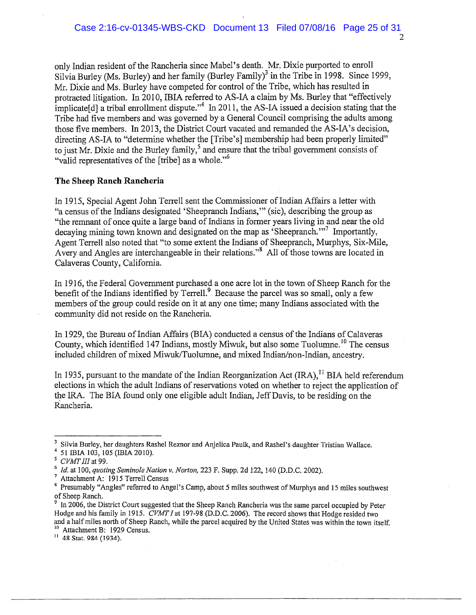only Indian resident ofthe Rancheria since Mabel's death. Mr. Dixie purported to enroll Since 2022 of the Countries of the Countries of the Countries of the Couple<br>Silvia Burley (Ms. Burley) and her family (Burley Family)<sup>3</sup> in the Tribe in 1998. Since 1999,<br>Mr. Dixie and Ms. Burley have competed for control Mr. Dixie and Ms. Burley have competed for control of the Tribe, which has resulted in protracted litigation. In 2010, IBIA referred to AS-IA a claim by Ms. Burley that "effectively implicate and ribal enrollment dispute."<sup>4</sup> In 2011, the AS-IA issued a decision stating that the only Indian resident of the Rancheria since Mabel's death. Mr. Dixie purported to enroll<br>Silvia Burley (Ms. Burley) and her family (Burley Family)<sup>3</sup> in the Tribe in 1998. Since 1999,<br>Mr. Dixie and Ms. Burley have competed Tribe had five members and was governed by a General Council comprising the adults among those five members. In 2013, the District Court vacated and remanded the AS-IA's decision, directing AS-IA to "determine whether the [Tribe's) membership had been properly limited" Tribe had five members and was governed by a General Council comprising the adults and those five members. In 2013, the District Court vacated and remanded the AS-IA's decision directing AS-IA to "determine whether the [T

### The Sheep Ranch Rancheria

In 1915, Special Agent John Terrell sent the Commissioner of Indian Affairs a letter with "a census ofthe Indians designated 'Sheepranch Indians," (sic), describing the group as "the remnant of once quite a large band of Indians in former years living in and near the old decaying mining town known and designated on the map as 'Sheepranch."<sup>7</sup> Importantly. to just Mr. Dixie and the Burley family," and ensure that the tribal government consists of<br>
"valid representatives of the [tribe] as a whole."<sup>6</sup><br>
The Sheep Ranch Rancheria<br>
In 1915, Special Agent John Terrell sent the Co Agent Terrell also noted that "to some extent the Indians of Sheepranch, Murphys, Six-Mile, Avery and Angles are interchangeable in their relations."<sup>8</sup> All of those towns are located in Calaveras County, California.

In 1916, the Federal Government purchased a one acre lot in the town of Sheep Ranch for the Avery and Angles are interchangeable in their relations."<sup>3</sup> All of those towns are located Calaveras County, California.<br>In 1916, the Federal Government purchased a one acre lot in the town of Sheep Ranch for benefit of t members of the group could reside on it at any one time; many Indians associated with the community did not reside on the Rancheria.

In 1929, the Bureau of Indian Affairs (BIA) conducted a census of the Indians of Calaveras County, which identified 147 Indians, mostly Miwuk, but also some Tuolumne.<sup>10</sup> The census included children of mixed Miwuk/Tuolumne, and mixed Indian/non-Indian, ancestry.

In 1935, pursuant to the mandate of the Indian Reorganization Act  $(IRA)$ , <sup>11</sup> BIA held referendum elections in which the adult Indians of reservations voted on whether to reject the application of the IRA. The BIA found only one eligible adult Indian, JeffDavis, to be residing on the Rancheria.

Silvia Burley, her daughters Rashel Reznor and Anjelica Paulk, and Rashel's daughter Tristian Wallace. 51 IBIA 103, 105 (IBIA 2010).

 $5$  CVMT III at 99.

<sup>&</sup>lt;sup>6</sup> Id. at 100, quoting Seminole Nation v. Norton, 223 F. Supp. 2d 122, 140 (D.D.C. 2002).<br><sup>7</sup> Attachment A: 1915 Terrell Census

Presumably "Angles" referred to Angel's Camp, about 5 miles southwest of Murphys and 15 miles southwest of Sheep Ranch.

 $9$  In 2006, the District Court suggested that the Sheep Ranch Rancheria was the same parcel occupied by Peter Hodge and his family in 1915. CVMT I at 197-98 (D.D.C. 2006). The record shows that Hodge resided two and a half miles north of Sheep Ranch, while the parcel acquired by the United States was within the town itself.  $\frac{10}{11}$  Attachment B: 1929 Census. II 48 Stat. 984 (1934).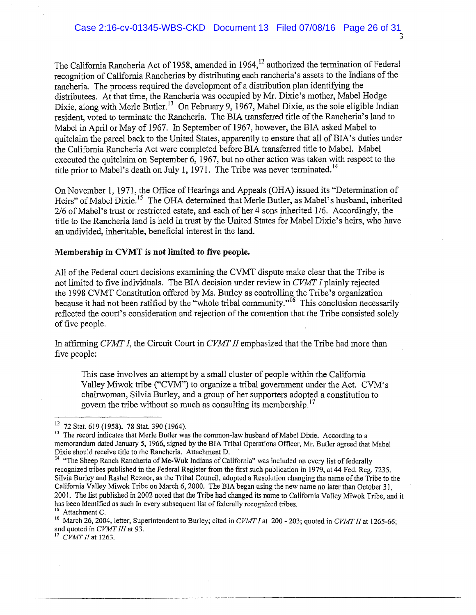The California Rancheria Act of 1958, amended in 1964,<sup>12</sup> authorized the termination of Federal recognition of California Rancherias by distributing each rancheria's assets to the Indians of the raneheria. The process required the development of a distribution plan identifying the rancheria. The process required the development of a distribution plan identitying the<br>distributees. At that time, the Rancheria was occupied by Mr. Dixie's mother, Mabel Hodge<br>Dixie, along with Merle Butler.<sup>13</sup> On Februa resident, voted to terminate the Rancheria. The BIA transferred title of the Rancheria's land to Mabel in April or May of 1967. In September of 1967, however, the BIA asked Mabel to quitclaim the parcel back to the United States, apparently to ensure that all of BIA's duties under the California Rancheria Act were completed before BIA transferred title to Mabel. Mabel executed the quitclaim on September 6, 1967, but no other action was taken with respect to the Dixie, along with Merle Butler.<sup>13</sup> On February 9, 1967, Mabel Dixie, as the sole eligible Indian resident, voted to terminate the Rancheria. The BIA transferred title of the Rancheria's land to Mabel in April or May of 1

On November 1, 1971, the Office of Hearings and Appeals (OHA) issued its "Determination of Heirs" of Mabel Dixie,<sup>15</sup> The OHA determined that Merle Butler, as Mabel's husband, inherited 2/6 of Mabel's trust or restricted estate, and each of her 4 sons inherited 1/6. Accordingly, the title to the Rancheria land is held in trust by the United States for Mabel Dixie's heirs, who have an undivided, inheritable, beneficial interest in the land.

### Membership in CVMT is not limited to five people.

All of the Federal court decisions examining the CVMT dispute make clear that the Tribe is not limited to five individuals. The BIA decision under review in  $CVMTI$  plainly rejected the 1998 CVMT Constitution offered by Ms. Burley as controlling the Tribe's organization<br>because it had not been ratified by the "whole tribal community."<sup>16</sup> This conclusion necessarily an undivided, inheritable, beneficial interest in the land.<br>
Membership in CVMT is not limited to five people.<br>
All of the Federal court decisions examining the CVMT dispute make clear that the Tribe is<br>
not limited to fi reflected the court's consideration and rejection of the contention that the Tribe consisted solely of five people.

In affirming CVMT I, the Circuit Court in CVMT II emphasized that the Tribe had more than five people:

This case involves an attempt by a small cluster of people within the California Valley Miwok tribe ("CVM") to organize a tribal government under the Act. CVM's chairwoman, Silvia Burley, and a group of her supporters adopted a constitution to ming *CVMT I*, the Circuit Court in *CVMT II* emphasized that the ople:<br>This case involves an attempt by a small cluster of people within Valley Miwok tribe ("CVM") to organize a tribal government un chairwoman, Silvia Bu

 $17$  CVMT II at 1263.

<sup>&</sup>lt;sup>12</sup> 72 Stat. 619 (1958). 78 Stat. 390 (1964).

<sup>&</sup>lt;sup>13</sup> The record indicates that Merle Butler was the common-law husband of Mabel Dixie. According to a memorandum dated January 5, 1966, signed by the BIA Tribal Operations Officer, Mr. Butler agreed that Mabel Dixie should receive title to the Rancheria. Attachment D.

<sup>&</sup>lt;sup>14</sup> "The Sheep Ranch Rancheria of Me-Wuk Indians of California" was included on every list of federally recognized tribes published in the Federal Register from the first such publication in 1979, at 44 Fed. Reg. 7235. Silvia Burley and Rashel Reznor, as the Tribal Council, adopted a Resolution changing the name ofthe Tribe to the California Valley Miwok Tribe on March 6, 2000. The BIA began using the new name no later than October 31, 2001. The list published in 2002 noted that the Tribe had changed its name to California Valley Miwok Tribe, and it has been identified as such in every subsequent list of federally recognized tribes. <sup>15</sup> Attachment C.

<sup>&</sup>lt;sup>16</sup> March 26, 2004, letter, Superintendent to Burley; cited in CVMT I at 200 - 203; quoted in CVMT II at 1265-66; and quoted in CVMT III at 93.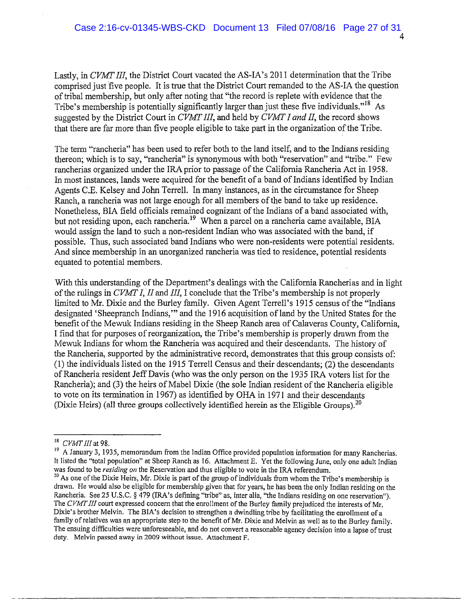Lastly, in CVMT III, the District Court vacated the AS-IA's 2011 determination that the Tribe comprised just five people. It is true that the District Court remanded to the AS-IA the question of tribal membership, but only after noting that "the record is replete with evidence that the Tribe's membership is potentially significantly larger than just these five individuals."<sup>18</sup> As suggested by the District Court in CVMT III, and held by CVMT I and II, the record shows that there are far more than five people eligible to take part in the organization of the Tribe.

The term "rancheria" has been used to refer both to the land itself, and to the Indians residing thereon; which is to say, "rancheria" is synonymous with both "reservation" and "tribe." Few rancherias organized under the IRA prior to passage of the California Rancheria Act in 1958. In most instances, lands were acquired for the benefit of a band of Indians identified by Indian Agents C.E. Kelsey and John Terrell. In many instances, as in the circumstance for Sheep Ranch, a rancheria was not large enough for all members of the band to take up residence. Nonetheless, BIA field officials remained cognizant of the Indians of a band associated with, but not residing upon, each rancheria.<sup>19</sup> When a parcel on a rancheria came available, BIA would assign the land to such a non-resident Indian who was associated with the band, if possible. Thus, such associated band Indians who were non-residents were potential residents. And since membership in an unorganized rancheria was tied to residence, potential residents equated to potential members.

With this understanding of the Department's dealings with the California Rancherias and in light of the rulings in  $CVMTI$ , II and III, I conclude that the Tribe's membership is not properly limited to Mr. Dixie and the Burley family. Given Agent Terrell's 1915 census ofthe "Indians designated 'Sheepranch Indians," and the 1916 acquisition of land by the United States for the benefit of the Mewuk Indians residing in the Sheep Ranch area of Calaveras County, California, I find that for purposes of reorganization, the Tribe's membership is properly drawn from the Mewuk Indians for whom the Rancheria was acquired and their descendants. The history of the Rancheria, supported by the administrative record, demonstrates that this group consists of: (1) the individuals listed on the 1915 Terrell Census and their descendants; (2) the descendants of Rancheria resident JeffDavis (who was the only person on the 1935 IRA voters list for the Rancheria); and (3) the heirs of Mabel Dixie (the sole Indian resident of the Rancheria eligible to vote on its termination in 1967) as identified by OHA in 1971 and their descendants The that for parposes of reorganization, the Thoe's inemetially is properly drawn I<br>Mewuk Indians for whom the Rancheria was acquired and their descendants. The his<br>the Rancheria, supported by the administrative record, d

CVMT<sub>III</sub> at 98.

<sup>&</sup>lt;sup>19</sup> A January 3, 1935, memorandum from the Indian Office provided population information for many Rancherias. It listed the "total population" at Sheep Ranch as 16. Attachment E. Yet the following June, only one adult Indian was found to be *residing on* the Reservation and thus eligible to vote in the IRA referendum.

 $^{20}$  As one of the Dixie Heirs, Mr. Dixie is part of the group of individuals from whom the Tribe's membership is drawn. He would also be eligible for membership given that for years, he has been the only Indian residing on the Rancheria. See 25 U.S.C. § 479 (IRA's defining "tribe" as, inter alia. "the Indians residing on one reservation"). The CVMT III court expressed concern that the enrollment of the Burley family prejudiced the interests of Mr. Dixie's brother Melvin. The BIA's decision to strengthen a dwindling tribe by facilitating the enrollment of a family of relatives was an appropriate step to the benefit of Mr. Dixie and Melvin as well as to the Burley family. The ensuing difficulties were unforeseeable, and do not convert a reasonable agency decision into a lapse of trust duty. Melvin passed away in 2009 without issue. Attachment F.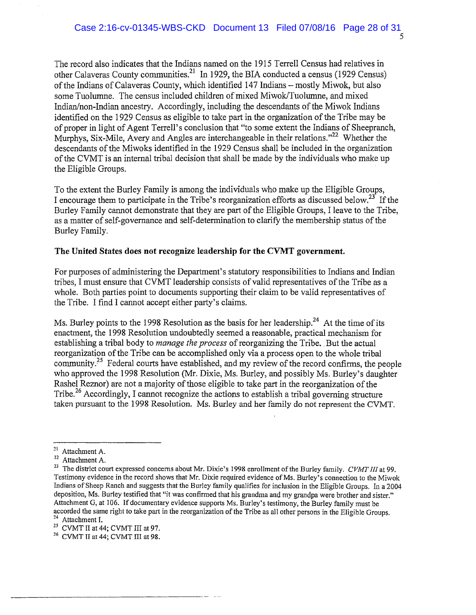D

The record also indicates that the Indians named on the 1915 Terrell Census had relatives in other Calaveras County communities.<sup>21</sup> In 1929, the BIA conducted a census (1929 Census) ofthe Indians of Calaveras County, which identified 147 Indians — mostly Miwok, but also some Tuolumne. The census included children of mixed Miwok/Tuolumne, and mixed Indian/non-Indian ancestry. Accordingly, including the descendants of the Miwok Indians identified on the 1929 Census as eligible to take part in the organization of the Tribe may be of proper in light of Agent Terrell's conclusion that "to some extent the Indians of Sheepranch, Murphys, Six-Mile, Avery and Angles are interchangeable in their relations."<sup>22</sup> Whether the descendants ofthe Miwoks identified in the 1929 Census shall be included in the organization ofthe CVMT is an internal tribal decision that shall be made by the individuals who make up the Eligible Groups.

To the extent the Burley Family is among the individuals who make up the Eligible Groups, I encourage them to participate in the Tribe's reorganization efforts as discussed below.<sup>23</sup> If the Burley Family cannot demonstrate that they are part of the Eligible Groups, I leave to the Tribe, as a matter of self-governance and self-determination to clarify the membership status of the Burley Family.

### The United States does not recognize leadership for the CVMT government.

For purposes of administering the Department's statutory responsibilities to Indians and Indian tribes, I must ensure that CVMT leadership consists of valid representatives ofthe Tribe as a whole. Both parties point to documents supporting their claim to be valid representatives of the Tribe. I find I cannot accept either party's claims.

Ms. Burley points to the 1998 Resolution as the basis for her leadership.<sup>24</sup> At the time of its enactment, the 1998 Resolution undoubtedly seemed a reasonable, practical mechanism for establishing a tribal body to *manage the process* of reorganizing the Tribe. But the actual reorganization of the Tribe can be accomplished only via a process open to the whole tribal enactment, the 1998 Resolution undoubtedly seemed a reasonable, practical mechanism for<br>establishing a tribal body to *manage the process* of reorganizing the Tribe. But the actual<br>reorganization of the Tribe can be accomp who approved the 1998 Resolution (Mr. Dixie, Ms. Burley, and possibly Ms. Burley's daughter Rashel Reznor) are not a majority of those eligible to take part in the reorganization of the Tribe.<sup>26</sup> Accordingly, I cannot recognize the actions to establish a tribal governing structure taken pursuant to the 1998 Resolution. Ms. Burley and her family do not represent the CVMT.

<sup>21</sup> Attachment A.

<sup>22</sup> Attachment A.

<sup>&</sup>lt;sup>23</sup> The district court expressed concerns about Mr. Dixie's 1998 enrollment of the Burley family. CVMT III at 99. Testimony evidence in the record shows that Mr. Dixie required evidence ofMs. Burley's connection to the Miwok Indians of Sheep Ranch and suggests that the Burley family qualifies for inclusion in the Eligible Groups. In <sup>a</sup> 2004 deposition, Ms. Burley testified that "it was confirmed that his grandma and my grandpa were brother and sister." Attachment G, at 106. If documentary evidence supports Ms. Burley's testimony, the Burley family must be accorded the same right to take part in the reorganization of the Tribe as all other persons in the Eligible Groups.<br><sup>24</sup> Attachment I.

<sup>&</sup>lt;sup>25</sup> CVMT II at 44; CVMT III at 97.<br><sup>26</sup> CVMT II at 44; CVMT III at 98.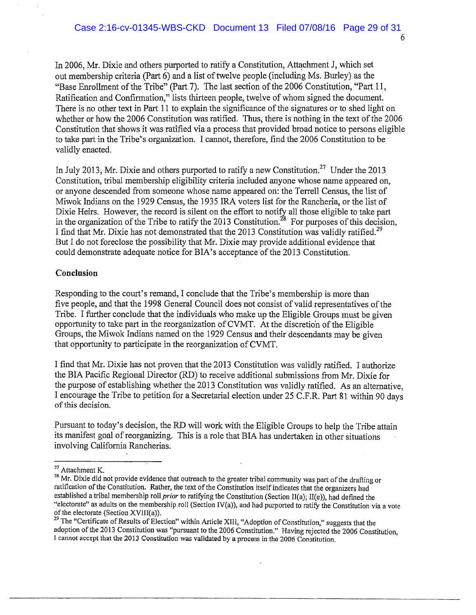In 2006, Mr. Dixie and others purported to ratify a Constitution, Attachment J, which set out membership criteria (Part 6) and a list oftwelve people (including Ms. Burley) as the "Base Enrollment of the Tribe" (Part 7). The last section of the 2006 Constitution, "Part 11, Ratification and Confirmation," lists thirteen people, twelve of whom signed the document. There is no other text in Part 11 to explain the significance of the signatures or to shed light on whether or how the 2006 Constitution was ratified. Thus, there is nothing in the text of the 2006 Constitution that shows it was ratified via a process that provided broad notice to persons eligible to take part in the Tribe's organization. I cannot, therefore, find the 2006 Constitution to be validly enacted.

In July 2013, Mr. Dixie and others purported to ratify a new Constitution.<sup>27</sup> Under the 2013 Constitution, tribal membership eligibility criteria included anyone whose name appeared on, or anyone descended from someone whose name appeared on: the Terrell Census, the list of Miwok Indians on the 1929 Census, the 1935 IRA voters list for the Rancheria, or the list of Dixie Heirs. However, the record is silent on the effort to notify all those eligible to take part or anyone descended from someone whose name appeared on: the Terrell Census, the list of Miwok Indians on the 1929 Census, the 1935 IRA voters list for the Rancheria, or the list of Dixie Heirs. However, the record is sile Dixie Heirs. However, the record is silent on the effort to notify all those eligible to take point the organization of the Tribe to ratify the 2013 Constitution.<sup>28</sup> For purposes of this decise is a limit of the 2014 of t But I do not foreclose the possibility that Mr. Dixie may provide additional evidence that could demonstrate adequate notice for BIA's acceptance of the 2013 Constitution.

### **Conclusion**

Responding to the court's remand, I conclude that the Tribe's membership is more than five people, and that the 1998 General Council does not consist of valid representatives of the Tribe. I further conclude that the individuals who make up the Eligible Groups must be given opportunity to take part in the reorganization ofCVMT. At the discretion ofthe Eligible Groups, the Miwok Indians named on the 1929 Census and their descendants may be given that opportunity to participate in the reorganization of CVMT.

I find that Mr. Dixie has not proven that the 2013 Constitution was validly ratified. I authorize the BIA Pacific Regional Director (RD) to receive additional submissions from Mr. Dixie for the purpose of establishing whether the 2013 Constitution was validly ratified. As an alternative, <sup>I</sup> encourage the Tribe to petition for <sup>a</sup> Secretarial election under <sup>25</sup> C.F.R. Part <sup>81</sup> within <sup>90</sup> days ofthis decision.

Pursuant to today's decision, the RI) will work with the Eligible Groups to help the Tribe attain its manifest goal of reorganizing. This is a role that BIA has undertaken in other situations involving California Rancherias.

<sup>&</sup>lt;sup>27</sup> Attachment K.<br><sup>28</sup> Mr. Dixie did not provide evidence that outreach to the greater tribal community was part of the drafting or<br>ratification of the Constitution. Rather, the text of the Constitution itself indicates t established a tribal membership roll prior to ratifying the Constitution (Section II(a); II(e)), had defined the "electorate" as adults on the membership roll (Section IV(a)), and had purported to ratify the Constitution via a vote of the electorate (Section XVIII(a)).

 $29$  The "Certificate of Results of Election" within Article XIII, "Adoption of Constitution," suggests that the adoption of the 2013 Constitution was "pursuant to the 2006 Constitution." Having rejected the 2006 Constitution, I cannot accept that the 2013 Constitution was validated by a process in the 2006 Constitution.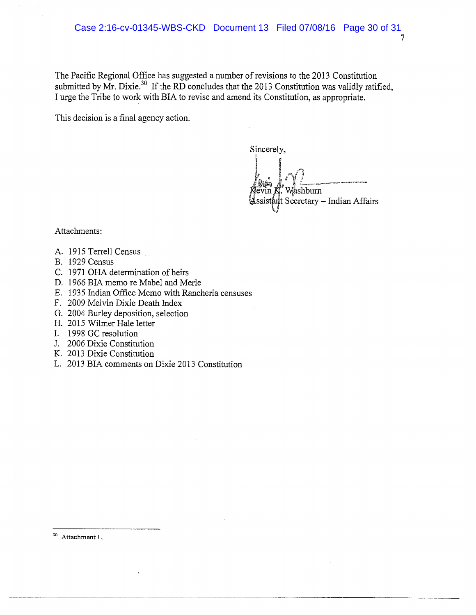The Pacific Regional Office has suggested a number of revisions to the 2013 Constitution submitted by Mr. Dixie.<sup>30</sup> If the RD concludes that the 2013 Constitution was validly ratified, I urge the Tribe to work with BIA to revise and amend its Constitution, as appropriate.

This decision is a final agency action.

Sincerely,

shburn ant Secretary – Indian Affairs

Attachments:

- A. 1915 Terrell Census
- B. 1929 Census
- C. 1971 OHA determination of heirs
- D. 1966 BIA memo re Mabel and Merle
- E. 1935 Indian Office Memo with Rancheria censuses
- F. 2009 Melvin Dixie Death Index
- G. 2004 Burley deposition, selection
- H. 2015 Wilmer Hale letter
- I. 1998 GC resolution
- J. 2006 Dixie Constitution
- K. 2013 Dixie Constitution
- L. 2013 BIA comments on Dixie 2013 Constitution

<sup>30</sup> Attachment L.